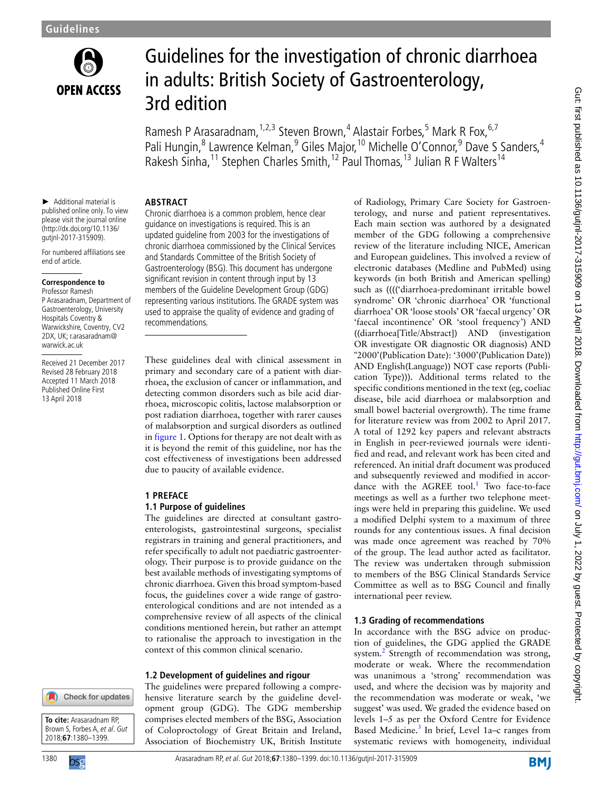

# Guidelines for the investigation of chronic diarrhoea in adults: British Society of Gastroenterology, 3rd edition

Ramesh P Arasaradnam, <sup>1,2,3</sup> Steven Brown, <sup>4</sup> Alastair Forbes, <sup>5</sup> Mark R Fox, <sup>6,7</sup> Pali Hungin,<sup>8</sup> Lawrence Kelman,<sup>9</sup> Giles Major,<sup>10</sup> Michelle O'Connor,<sup>9</sup> Dave S Sanders,<sup>4</sup> Rakesh Sinha,<sup>11</sup> Stephen Charles Smith,<sup>12</sup> Paul Thomas,<sup>13</sup> Julian R F Walters<sup>14</sup>

#### ► Additional material is published online only. To view please visit the journal online (http://dx.doi.org/10.1136/

For numbered affiliations see end of article.

#### **Correspondence to**

gutjnl-2017-315909).

Professor Ramesh P Arasaradnam, Department of Gastroenterology, University Hospitals Coventry & Warwickshire, Coventry, CV2 2DX, UK; r.arasaradnam@ warwick.ac.uk

Received 21 December 2017 Revised 28 February 2018 Accepted 11 March 2018 Published Online First 13 April 2018

## **Abstract**

Chronic diarrhoea is a common problem, hence clear guidance on investigations is required. This is an updated guideline from 2003 for the investigations of chronic diarrhoea commissioned by the Clinical Services and Standards Committee of the British Society of Gastroenterology (BSG). This document has undergone significant revision in content through input by 13 members of the Guideline Development Group (GDG) representing various institutions. The GRADE system was used to appraise the quality of evidence and grading of recommendations.

These guidelines deal with clinical assessment in primary and secondary care of a patient with diarrhoea, the exclusion of cancer or inflammation, and detecting common disorders such as bile acid diarrhoea, microscopic colitis, lactose malabsorption or post radiation diarrhoea, together with rarer causes of malabsorption and surgical disorders as outlined in [figure](#page-1-0) 1. Options for therapy are not dealt with as it is beyond the remit of this guideline, nor has the cost effectiveness of investigations been addressed due to paucity of available evidence.

## **1 Preface**

## **1.1 Purpose of guidelines**

The guidelines are directed at consultant gastroenterologists, gastrointestinal surgeons, specialist registrars in training and general practitioners, and refer specifically to adult not paediatric gastroenterology. Their purpose is to provide guidance on the best available methods of investigating symptoms of chronic diarrhoea. Given this broad symptom-based focus, the guidelines cover a wide range of gastroenterological conditions and are not intended as a comprehensive review of all aspects of the clinical conditions mentioned herein, but rather an attempt to rationalise the approach to investigation in the context of this common clinical scenario.

## **1.2 Development of guidelines and rigour**



**To cite:** Arasaradnam RP, Brown S, Forbes A, et al. Gut 2018;**67**:1380–1399.

The guidelines were prepared following a comprehensive literature search by the guideline development group (GDG). The GDG membership comprises elected members of the BSG, Association of Coloproctology of Great Britain and Ireland, Association of Biochemistry UK, British Institute of Radiology, Primary Care Society for Gastroenterology, and nurse and patient representatives. Each main section was authored by a designated member of the GDG following a comprehensive review of the literature including NICE, American and European guidelines. This involved a review of electronic databases (Medline and PubMed) using keywords (in both British and American spelling) such as (((('diarrhoea-predominant irritable bowel syndrome' OR 'chronic diarrhoea' OR 'functional diarrhoea' OR 'loose stools' OR 'faecal urgency' OR 'faecal incontinence' OR 'stool frequency') AND ((diarrhoea[Title/Abstract]) AND (investigation OR investigate OR diagnostic OR diagnosis) AND "2000'(Publication Date): '3000'(Publication Date)) AND English(Language)) NOT case reports (Publication Type))). Additional terms related to the specific conditions mentioned in the text (eg, coeliac disease, bile acid diarrhoea or malabsorption and small bowel bacterial overgrowth). The time frame for literature review was from 2002 to April 2017. A total of 1292 key papers and relevant abstracts in English in peer-reviewed journals were identified and read, and relevant work has been cited and referenced. An initial draft document was produced and subsequently reviewed and modified in accor-dance with the AGREE tool.<sup>[1](#page-15-0)</sup> Two face-to-face meetings as well as a further two telephone meetings were held in preparing this guideline. We used a modified Delphi system to a maximum of three rounds for any contentious issues. A final decision was made once agreement was reached by 70% of the group. The lead author acted as facilitator. The review was undertaken through submission to members of the BSG Clinical Standards Service Committee as well as to BSG Council and finally international peer review.

## **1.3 Grading of recommendations**

In accordance with the BSG advice on production of guidelines, the GDG applied the GRADE system. $2$  Strength of recommendation was strong, moderate or weak. Where the recommendation was unanimous a 'strong' recommendation was used, and where the decision was by majority and the recommendation was moderate or weak, 'we suggest' was used. We graded the evidence based on levels 1–5 as per the Oxford Centre for Evidence Based Medicine.<sup>[3](#page-15-2)</sup> In brief, Level 1a-c ranges from systematic reviews with homogeneity, individual

**BMI** 

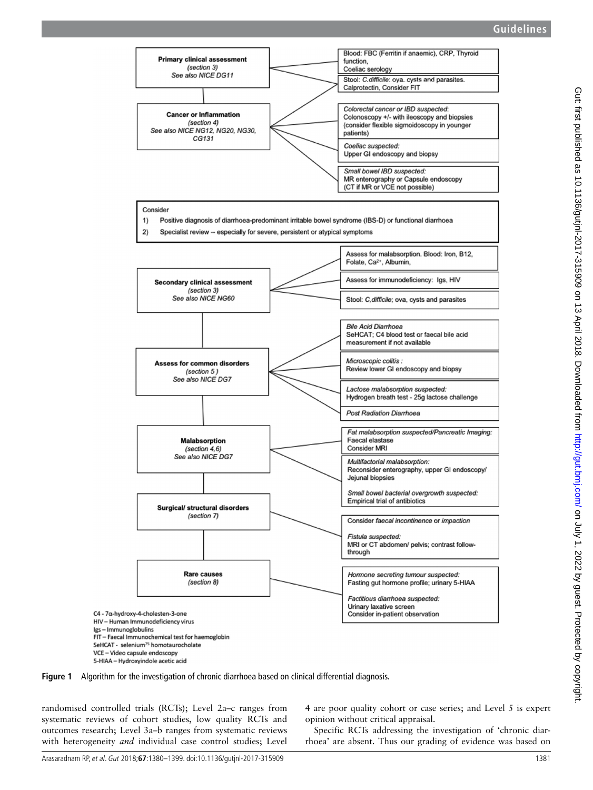

<span id="page-1-0"></span>

randomised controlled trials (RCTs); Level 2a–c ranges from systematic reviews of cohort studies, low quality RCTs and outcomes research; Level 3a–b ranges from systematic reviews with heterogeneity *and* individual case control studies; Level

4 are poor quality cohort or case series; and Level 5 is expert opinion without critical appraisal.

Specific RCTs addressing the investigation of 'chronic diarrhoea' are absent. Thus our grading of evidence was based on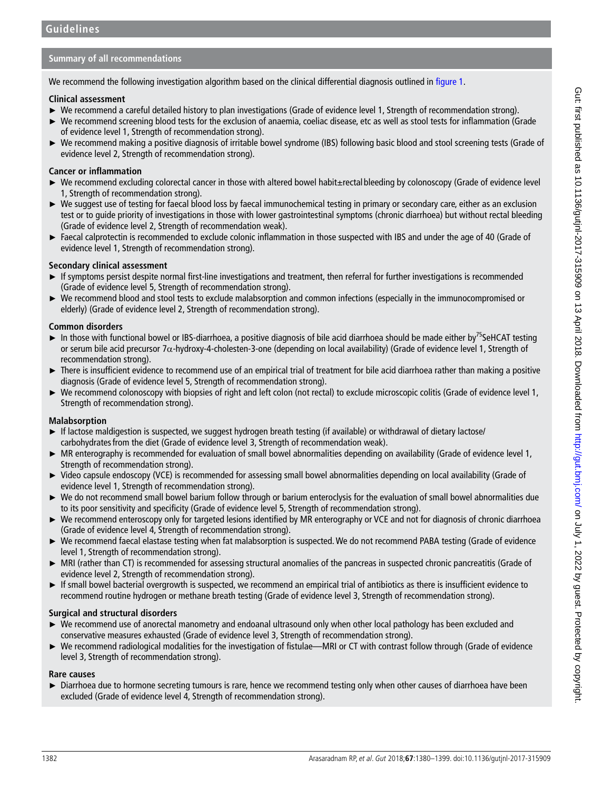## **Summary of all recommendations**

We recommend the following investigation algorithm based on the clinical differential diagnosis outlined in [figure 1.](#page-1-0)

#### **Clinical assessment**

- ► We recommend a careful detailed history to plan investigations (Grade of evidence level 1, Strength of recommendation strong).
- ► We recommend screening blood tests for the exclusion of anaemia, coeliac disease, etc as well as stool tests for inflammation (Grade of evidence level 1, Strength of recommendation strong).
- ► We recommend making a positive diagnosis of irritable bowel syndrome (IBS) following basic blood and stool screening tests (Grade of evidence level 2, Strength of recommendation strong).

### **Cancer or inflammation**

- ► We recommend excluding colorectal cancer in those with altered bowel habit±rectal bleeding by colonoscopy (Grade of evidence level 1, Strength of recommendation strong).
- ► We suggest use of testing for faecal blood loss by faecal immunochemical testing in primary or secondary care, either as an exclusion test or to guide priority of investigations in those with lower gastrointestinal symptoms (chronic diarrhoea) but without rectal bleeding (Grade of evidence level 2, Strength of recommendation weak).
- ► Faecal calprotectin is recommended to exclude colonic inflammation in those suspected with IBS and under the age of 40 (Grade of evidence level 1, Strength of recommendation strong).

#### **Secondary clinical assessment**

- ► If symptoms persist despite normal first-line investigations and treatment, then referral for further investigations is recommended (Grade of evidence level 5, Strength of recommendation strong).
- ► We recommend blood and stool tests to exclude malabsorption and common infections (especially in the immunocompromised or elderly) (Grade of evidence level 2, Strength of recommendation strong).

#### **Common disorders**

- In those with functional bowel or IBS-diarrhoea, a positive diagnosis of bile acid diarrhoea should be made either by<sup>75</sup>SeHCAT testing or serum bile acid precursor 7 $\alpha$ -hydroxy-4-cholesten-3-one (depending on local availability) (Grade of evidence level 1, Strength of recommendation strong).
- ► There is insufficient evidence to recommend use of an empirical trial of treatment for bile acid diarrhoea rather than making a positive diagnosis (Grade of evidence level 5, Strength of recommendation strong).
- ► We recommend colonoscopy with biopsies of right and left colon (not rectal) to exclude microscopic colitis (Grade of evidence level 1, Strength of recommendation strong).

## **Malabsorption**

- ► If lactose maldigestion is suspected, we suggest hydrogen breath testing (if available) or withdrawal of dietary lactose/ carbohydratesfrom the diet (Grade of evidence level 3, Strength of recommendation weak).
- ► MR enterography is recommended for evaluation of small bowel abnormalities depending on availability (Grade of evidence level 1, Strength of recommendation strong).
- ► Video capsule endoscopy (VCE) is recommended for assessing small bowel abnormalities depending on local availability (Grade of evidence level 1, Strength of recommendation strong).
- ► We do not recommend small bowel barium follow through or barium enteroclysis for the evaluation of small bowel abnormalities due to its poor sensitivity and specificity (Grade of evidence level 5, Strength of recommendation strong).
- ► We recommend enteroscopy only for targeted lesions identified by MR enterography or VCE and not for diagnosis of chronic diarrhoea (Grade of evidence level 4, Strength of recommendation strong).
- ► We recommend faecal elastase testing when fat malabsorption is suspected. We do not recommend PABA testing (Grade of evidence level 1, Strength of recommendation strong).
- ► MRI (rather than CT) is recommended for assessing structural anomalies of the pancreas in suspected chronic pancreatitis (Grade of evidence level 2, Strength of recommendation strong).
- ► If small bowel bacterial overgrowth is suspected, we recommend an empirical trial of antibiotics as there is insufficient evidence to recommend routine hydrogen or methane breath testing (Grade of evidence level 3, Strength of recommendation strong).

#### **Surgical and structural disorders**

- ► We recommend use of anorectal manometry and endoanal ultrasound only when other local pathology has been excluded and conservative measures exhausted (Grade of evidence level 3, Strength of recommendation strong).
- ► We recommend radiological modalities for the investigation of fistulae—MRI or CT with contrast follow through (Grade of evidence level 3, Strength of recommendation strong).

#### **Rare causes**

► Diarrhoea due to hormone secreting tumours is rare, hence we recommend testing only when other causes of diarrhoea have been excluded (Grade of evidence level 4, Strength of recommendation strong).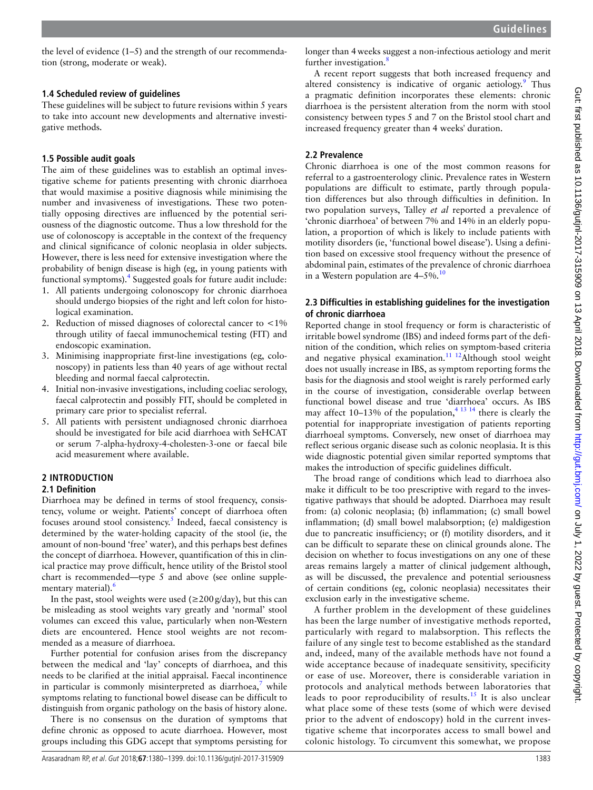the level of evidence (1–5) and the strength of our recommendation (strong, moderate or weak).

#### **1.4 Scheduled review of guidelines**

These guidelines will be subject to future revisions within 5 years to take into account new developments and alternative investigative methods.

### **1.5 Possible audit goals**

The aim of these guidelines was to establish an optimal investigative scheme for patients presenting with chronic diarrhoea that would maximise a positive diagnosis while minimising the number and invasiveness of investigations. These two potentially opposing directives are influenced by the potential seriousness of the diagnostic outcome. Thus a low threshold for the use of colonoscopy is acceptable in the context of the frequency and clinical significance of colonic neoplasia in older subjects. However, there is less need for extensive investigation where the probability of benign disease is high (eg, in young patients with functional symptoms).<sup>[4](#page-15-3)</sup> Suggested goals for future audit include:

- 1. All patients undergoing colonoscopy for chronic diarrhoea should undergo biopsies of the right and left colon for histological examination.
- 2. Reduction of missed diagnoses of colorectal cancer to <1% through utility of faecal immunochemical testing (FIT) and endoscopic examination.
- 3. Minimising inappropriate first-line investigations (eg, colonoscopy) in patients less than 40 years of age without rectal bleeding and normal faecal calprotectin.
- 4. Initial non-invasive investigations, including coeliac serology, faecal calprotectin and possibly FIT, should be completed in primary care prior to specialist referral.
- 5. All patients with persistent undiagnosed chronic diarrhoea should be investigated for bile acid diarrhoea with SeHCAT or serum 7-alpha-hydroxy-4-cholesten-3-one or faecal bile acid measurement where available.

## **2 Introduction**

## **2.1 Definition**

Diarrhoea may be defined in terms of stool frequency, consistency, volume or weight. Patients' concept of diarrhoea often focuses around stool consistency.<sup>[5](#page-15-4)</sup> Indeed, faecal consistency is determined by the water-holding capacity of the stool (ie, the amount of non-bound 'free' water), and this perhaps best defines the concept of diarrhoea. However, quantification of this in clinical practice may prove difficult, hence utility of the Bristol stool chart is recommended—type 5 and above (see online [supple](https://dx.doi.org/10.1136/gutjnl-2017-315909)[mentary material\)](https://dx.doi.org/10.1136/gutjnl-2017-315909).<sup>[6](#page-15-5)</sup>

In the past, stool weights were used ( $\geq$ 200g/day), but this can be misleading as stool weights vary greatly and 'normal' stool volumes can exceed this value, particularly when non-Western diets are encountered. Hence stool weights are not recommended as a measure of diarrhoea.

Further potential for confusion arises from the discrepancy between the medical and 'lay' concepts of diarrhoea, and this needs to be clarified at the initial appraisal. Faecal incontinence in particular is commonly misinterpreted as diarrhoea, $\bar{\ }$  while symptoms relating to functional bowel disease can be difficult to distinguish from organic pathology on the basis of history alone.

There is no consensus on the duration of symptoms that define chronic as opposed to acute diarrhoea. However, most groups including this GDG accept that symptoms persisting for

longer than 4weeks suggest a non-infectious aetiology and merit further investigation. $\frac{8}{3}$  $\frac{8}{3}$  $\frac{8}{3}$ 

A recent report suggests that both increased frequency and altered consistency is indicative of organic aetiology.<sup>9</sup> Thus a pragmatic definition incorporates these elements: chronic diarrhoea is the persistent alteration from the norm with stool consistency between types 5 and 7 on the Bristol stool chart and increased frequency greater than 4 weeks' duration.

## **2.2 Prevalence**

Chronic diarrhoea is one of the most common reasons for referral to a gastroenterology clinic. Prevalence rates in Western populations are difficult to estimate, partly through population differences but also through difficulties in definition. In two population surveys, Talley *et al* reported a prevalence of 'chronic diarrhoea' of between 7% and 14% in an elderly population, a proportion of which is likely to include patients with motility disorders (ie, 'functional bowel disease'). Using a definition based on excessive stool frequency without the presence of abdominal pain, estimates of the prevalence of chronic diarrhoea in a Western population are  $4-5\%$ .<sup>10</sup>

### **2.3 Difficulties in establishing guidelines for the investigation of chronic diarrhoea**

Reported change in stool frequency or form is characteristic of irritable bowel syndrome (IBS) and indeed forms part of the definition of the condition, which relies on symptom-based criteria and negative physical examination.<sup>11 12</sup>Although stool weight does not usually increase in IBS, as symptom reporting forms the basis for the diagnosis and stool weight is rarely performed early in the course of investigation, considerable overlap between functional bowel disease and true 'diarrhoea' occurs. As IBS may affect  $10-13\%$  of the population,<sup>4 13 14</sup> there is clearly the potential for inappropriate investigation of patients reporting diarrhoeal symptoms. Conversely, new onset of diarrhoea may reflect serious organic disease such as colonic neoplasia. It is this wide diagnostic potential given similar reported symptoms that makes the introduction of specific guidelines difficult.

The broad range of conditions which lead to diarrhoea also make it difficult to be too prescriptive with regard to the investigative pathways that should be adopted. Diarrhoea may result from: (a) colonic neoplasia; (b) inflammation; (c) small bowel inflammation; (d) small bowel malabsorption; (e) maldigestion due to pancreatic insufficiency; or (f) motility disorders, and it can be difficult to separate these on clinical grounds alone. The decision on whether to focus investigations on any one of these areas remains largely a matter of clinical judgement although, as will be discussed, the prevalence and potential seriousness of certain conditions (eg, colonic neoplasia) necessitates their exclusion early in the investigative scheme.

A further problem in the development of these guidelines has been the large number of investigative methods reported, particularly with regard to malabsorption. This reflects the failure of any single test to become established as the standard and, indeed, many of the available methods have not found a wide acceptance because of inadequate sensitivity, specificity or ease of use. Moreover, there is considerable variation in protocols and analytical methods between laboratories that leads to poor reproducibility of results.<sup>[15](#page-15-11)</sup> It is also unclear what place some of these tests (some of which were devised prior to the advent of endoscopy) hold in the current investigative scheme that incorporates access to small bowel and colonic histology. To circumvent this somewhat, we propose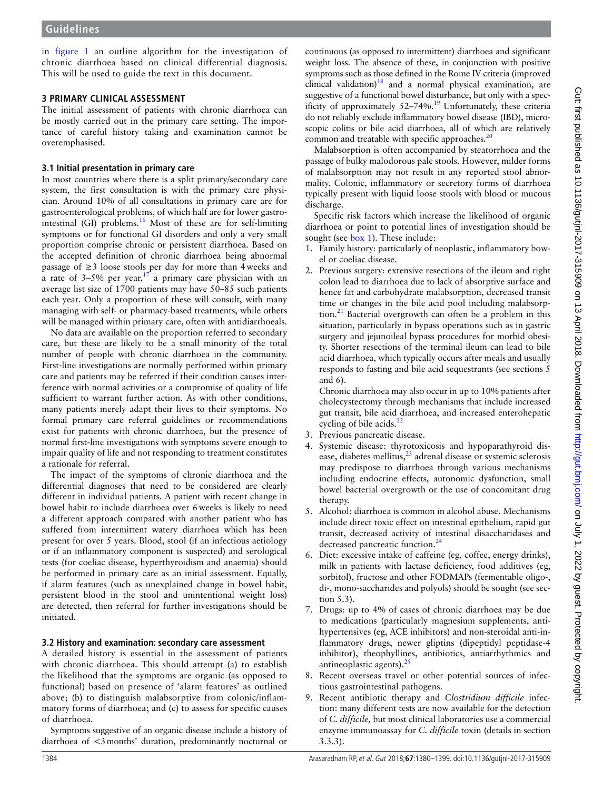in [figure](#page-1-0) 1 an outline algorithm for the investigation of chronic diarrhoea based on clinical differential diagnosis. This will be used to guide the text in this document.

## **3 Primary clinical assessment**

The initial assessment of patients with chronic diarrhoea can be mostly carried out in the primary care setting. The importance of careful history taking and examination cannot be overemphasised.

## **3.1 Initial presentation in primary care**

In most countries where there is a split primary/secondary care system, the first consultation is with the primary care physician. Around 10% of all consultations in primary care are for gastroenterological problems, of which half are for lower gastro-intestinal (GI) problems.<sup>[16](#page-15-12)</sup> Most of these are for self-limiting symptoms or for functional GI disorders and only a very small proportion comprise chronic or persistent diarrhoea. Based on the accepted definition of chronic diarrhoea being abnormal passage of ≥3 loose stools per day for more than 4weeks and a rate of  $3-5\%$  per year,  $17\degree$  $17\degree$  a primary care physician with an average list size of 1700 patients may have 50–85 such patients each year. Only a proportion of these will consult, with many managing with self- or pharmacy-based treatments, while others will be managed within primary care, often with antidiarrhoeals.

No data are available on the proportion referred to secondary care, but these are likely to be a small minority of the total number of people with chronic diarrhoea in the community. First-line investigations are normally performed within primary care and patients may be referred if their condition causes interference with normal activities or a compromise of quality of life sufficient to warrant further action. As with other conditions, many patients merely adapt their lives to their symptoms. No formal primary care referral guidelines or recommendations exist for patients with chronic diarrhoea, but the presence of normal first-line investigations with symptoms severe enough to impair quality of life and not responding to treatment constitutes a rationale for referral.

The impact of the symptoms of chronic diarrhoea and the differential diagnoses that need to be considered are clearly different in individual patients. A patient with recent change in bowel habit to include diarrhoea over 6weeks is likely to need a different approach compared with another patient who has suffered from intermittent watery diarrhoea which has been present for over 5 years. Blood, stool (if an infectious aetiology or if an inflammatory component is suspected) and serological tests (for coeliac disease, hyperthyroidism and anaemia) should be performed in primary care as an initial assessment. Equally, if alarm features (such as unexplained change in bowel habit, persistent blood in the stool and unintentional weight loss) are detected, then referral for further investigations should be initiated.

## **3.2 History and examination: secondary care assessment**

A detailed history is essential in the assessment of patients with chronic diarrhoea. This should attempt (a) to establish the likelihood that the symptoms are organic (as opposed to functional) based on presence of 'alarm features' as outlined above; (b) to distinguish malabsorptive from colonic/inflammatory forms of diarrhoea; and (c) to assess for specific causes of diarrhoea.

Symptoms suggestive of an organic disease include a history of diarrhoea of <3months' duration, predominantly nocturnal or

continuous (as opposed to intermittent) diarrhoea and significant weight loss. The absence of these, in conjunction with positive symptoms such as those defined in the Rome IV criteria (improved clinical validation) $18$  and a normal physical examination, are suggestive of a functional bowel disturbance, but only with a specificity of approximately 52–74%.[19](#page-15-15) Unfortunately, these criteria do not reliably exclude inflammatory bowel disease (IBD), microscopic colitis or bile acid diarrhoea, all of which are relatively common and treatable with specific approaches. $^{20}$ 

Malabsorption is often accompanied by steatorrhoea and the passage of bulky malodorous pale stools. However, milder forms of malabsorption may not result in any reported stool abnormality. Colonic, inflammatory or secretory forms of diarrhoea typically present with liquid loose stools with blood or mucous discharge.

Specific risk factors which increase the likelihood of organic diarrhoea or point to potential lines of investigation should be sought (see box 1). These include:

- 1. Family history: particularly of neoplastic, inflammatory bowel or coeliac disease.
- 2. Previous surgery: extensive resections of the ileum and right colon lead to diarrhoea due to lack of absorptive surface and hence fat and carbohydrate malabsorption, decreased transit time or changes in the bile acid pool including malabsorption. $21$  Bacterial overgrowth can often be a problem in this situation, particularly in bypass operations such as in gastric surgery and jejunoileal bypass procedures for morbid obesity. Shorter resections of the terminal ileum can lead to bile acid diarrhoea, which typically occurs after meals and usually responds to fasting and bile acid sequestrants (see sections 5 and 6).

Chronic diarrhoea may also occur in up to 10% patients after cholecystectomy through mechanisms that include increased gut transit, bile acid diarrhoea, and increased enterohepatic cycling of bile acids. $^{22}$  $^{22}$  $^{22}$ 

- 3. Previous pancreatic disease.
- 4. Systemic disease: thyrotoxicosis and hypoparathyroid disease, diabetes mellitus, $^{23}$  $^{23}$  $^{23}$  adrenal disease or systemic sclerosis may predispose to diarrhoea through various mechanisms including endocrine effects, autonomic dysfunction, small bowel bacterial overgrowth or the use of concomitant drug therapy.
- 5. Alcohol: diarrhoea is common in alcohol abuse. Mechanisms include direct toxic effect on intestinal epithelium, rapid gut transit, decreased activity of intestinal disaccharidases and decreased pancreatic function.<sup>[24](#page-15-20)</sup>
- 6. Diet: excessive intake of caffeine (eg, coffee, energy drinks), milk in patients with lactase deficiency, food additives (eg, sorbitol), fructose and other FODMAPs (fermentable oligo-, di-, mono-saccharides and polyols) should be sought (see section 5.3).
- 7. Drugs: up to 4% of cases of chronic diarrhoea may be due to medications (particularly magnesium supplements, antihypertensives (eg, ACE inhibitors) and non-steroidal anti-inflammatory drugs, newer gliptins (dipeptidyl peptidase-4 inhibitor), theophyllines, antibiotics, antiarrhythmics and antineoplastic agents). $25$
- 8. Recent overseas travel or other potential sources of infectious gastrointestinal pathogens.
- 9. Recent antibiotic therapy and *Clostridium difficile* infection: many different tests are now available for the detection of *C. difficile,* but most clinical laboratories use a commercial enzyme immunoassay for *C. difficile* toxin (details in section 3.3.3).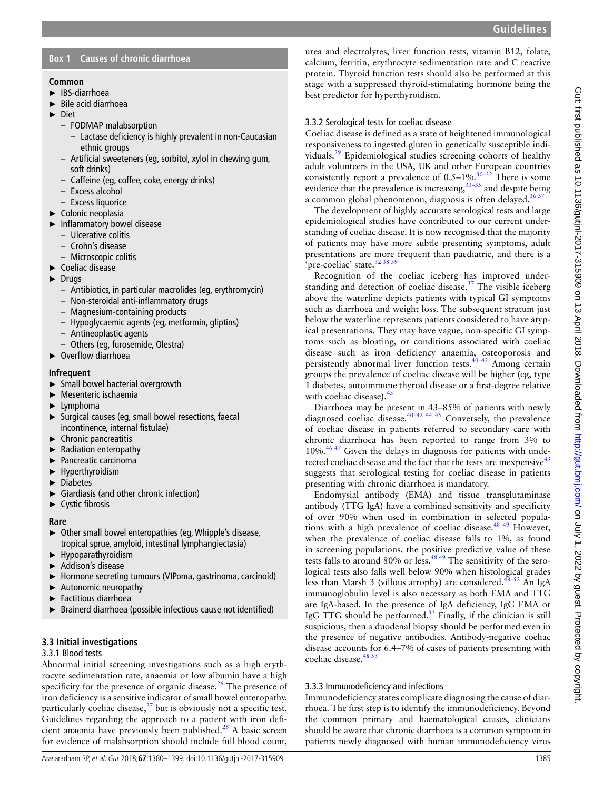### **Box 1 Causes of chronic diarrhoea**

#### **Common**

- ► IBS-diarrhoea
- ► Bile acid diarrhoea
- ► Diet
	- FODMAP malabsorption
		- Lactase deficiency is highly prevalent in non-Caucasian ethnic groups
	- Artificial sweeteners (eg, sorbitol, xylol in chewing gum, soft drinks)
	- Caffeine (eg, coffee, coke, energy drinks)
	- Excess alcohol
	- Excess liquorice
- ► Colonic neoplasia
- ► Inflammatory bowel disease
	- Ulcerative colitis
	- Crohn's disease
	- Microscopic colitis
- ► Coeliac disease
- ► Drugs
	- Antibiotics, in particular macrolides (eg, erythromycin)
	- Non-steroidal anti-inflammatory drugs
	- Magnesium-containing products
	- Hypoglycaemic agents (eg, metformin, gliptins)
	- Antineoplastic agents
	- Others (eg, furosemide, Olestra)
- ► Overflow diarrhoea

## **Infrequent**

- ► Small bowel bacterial overgrowth
- ► Mesenteric ischaemia
- ► Lymphoma
- ► Surgical causes (eg, small bowel resections, faecal incontinence, internal fistulae)
- ► Chronic pancreatitis
- ► Radiation enteropathy
- ► Pancreatic carcinoma
- ► Hyperthyroidism
- ► Diabetes
- ► Giardiasis (and other chronic infection)
- ► Cystic fibrosis

## **Rare**

- ► Other small bowel enteropathies (eg, Whipple's disease, tropical sprue, amyloid, intestinal lymphangiectasia)
- ► Hypoparathyroidism
- ► Addison's disease
- ► Hormone secreting tumours (VIPoma, gastrinoma, carcinoid)
- ► Autonomic neuropathy
- ► Factitious diarrhoea
- Brainerd diarrhoea (possible infectious cause not identified)

## **3.3 Initial investigations**

## 3.3.1 Blood tests

Abnormal initial screening investigations such as a high erythrocyte sedimentation rate, anaemia or low albumin have a high specificity for the presence of organic disease.<sup>26</sup> The presence of iron deficiency is a sensitive indicator of small bowel enteropathy, particularly coeliac disease, $^{27}$  but is obviously not a specific test. Guidelines regarding the approach to a patient with iron defi-cient anaemia have previously been published.<sup>[28](#page-15-24)</sup> A basic screen for evidence of malabsorption should include full blood count,

urea and electrolytes, liver function tests, vitamin B12, folate, calcium, ferritin, erythrocyte sedimentation rate and C reactive protein. Thyroid function tests should also be performed at this stage with a suppressed thyroid-stimulating hormone being the best predictor for hyperthyroidism.

## 3.3.2 Serological tests for coeliac disease

Coeliac disease is defined as a state of heightened immunological responsiveness to ingested gluten in genetically susceptible individuals[.29](#page-15-25) Epidemiological studies screening cohorts of healthy adult volunteers in the USA, UK and other European countries consistently report a prevalence of  $0.5-1\%$ .<sup>30–32</sup> There is some evidence that the prevalence is increasing,  $33-35$  and despite being a common global phenomenon, diagnosis is often delayed.<sup>3637</sup>

The development of highly accurate serological tests and large epidemiological studies have contributed to our current understanding of coeliac disease. It is now recognised that the majority of patients may have more subtle presenting symptoms, adult presentations are more frequent than paediatric, and there is a pre-coeliac' state.<sup>32 38 39</sup>

Recognition of the coeliac iceberg has improved under-standing and detection of coeliac disease.<sup>[37](#page-16-4)</sup> The visible iceberg above the waterline depicts patients with typical GI symptoms such as diarrhoea and weight loss. The subsequent stratum just below the waterline represents patients considered to have atypical presentations. They may have vague, non-specific GI symptoms such as bloating, or conditions associated with coeliac disease such as iron deficiency anaemia, osteoporosis and persistently abnormal liver function tests.<sup>[40–42](#page-16-5)</sup> Among certain groups the prevalence of coeliac disease will be higher (eg, type 1 diabetes, autoimmune thyroid disease or a first-degree relative with coeliac disease).<sup>[43](#page-16-6)</sup>

Diarrhoea may be present in 43–85% of patients with newly diagnosed coeliac disease. $40-42$  44 45 Conversely, the prevalence of coeliac disease in patients referred to secondary care with chronic diarrhoea has been reported to range from 3% to 10%.<sup>46 47</sup> Given the delays in diagnosis for patients with undetected coeliac disease and the fact that the tests are inexpensive $43$ suggests that serological testing for coeliac disease in patients presenting with chronic diarrhoea is mandatory.

Endomysial antibody (EMA) and tissue transglutaminase antibody (TTG IgA) have a combined sensitivity and specificity of over 90% when used in combination in selected populations with a high prevalence of coeliac disease. $48\frac{49}{19}$  However, when the prevalence of coeliac disease falls to 1%, as found in screening populations, the positive predictive value of these tests falls to around 80% or less.<sup>48,49</sup> The sensitivity of the serological tests also falls well below 90% when histological grades less than Marsh 3 (villous atrophy) are considered.<sup>48–52</sup> An IgA immunoglobulin level is also necessary as both EMA and TTG are IgA-based. In the presence of IgA deficiency, IgG EMA or IgG TTG should be performed.[53](#page-16-9) Finally, if the clinician is still suspicious, then a duodenal biopsy should be performed even in the presence of negative antibodies. Antibody-negative coeliac disease accounts for 6.4–7% of cases of patients presenting with coeliac disease.<sup>[48 53](#page-16-8)</sup>

## 3.3.3 Immunodeficiency and infections

Immunodeficiency states complicate diagnosing the cause of diarrhoea. The first step is to identify the immunodeficiency. Beyond the common primary and haematological causes, clinicians should be aware that chronic diarrhoea is a common symptom in patients newly diagnosed with human immunodeficiency virus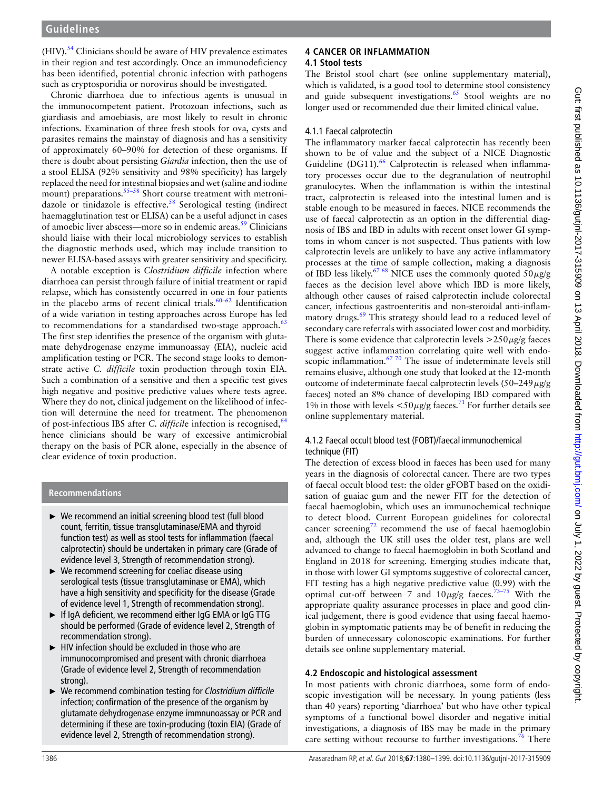$(HIV).<sup>54</sup>$  $(HIV).<sup>54</sup>$  $(HIV).<sup>54</sup>$  Clinicians should be aware of HIV prevalence estimates in their region and test accordingly. Once an immunodeficiency has been identified, potential chronic infection with pathogens such as cryptosporidia or norovirus should be investigated.

Chronic diarrhoea due to infectious agents is unusual in the immunocompetent patient. Protozoan infections, such as giardiasis and amoebiasis, are most likely to result in chronic infections. Examination of three fresh stools for ova, cysts and parasites remains the mainstay of diagnosis and has a sensitivity of approximately 60–90% for detection of these organisms. If there is doubt about persisting *Giardia* infection, then the use of a stool ELISA (92% sensitivity and 98% specificity) has largely replaced the need for intestinal biopsies and wet (saline and iodine mount) preparations.<sup>[55–58](#page-16-11)</sup> Short course treatment with metroni-dazole or tinidazole is effective.<sup>[58](#page-16-12)</sup> Serological testing (indirect haemagglutination test or ELISA) can be a useful adjunct in cases of amoebic liver abscess—more so in endemic areas.<sup>[59](#page-16-13)</sup> Clinicians should liaise with their local microbiology services to establish the diagnostic methods used, which may include transition to newer ELISA-based assays with greater sensitivity and specificity.

A notable exception is *Clostridium difficile* infection where diarrhoea can persist through failure of initial treatment or rapid relapse, which has consistently occurred in one in four patients in the placebo arms of recent clinical trials. $60-62$  Identification of a wide variation in testing approaches across Europe has led to recommendations for a standardised two-stage approach. $63$ The first step identifies the presence of the organism with glutamate dehydrogenase enzyme immunoassay (EIA), nucleic acid amplification testing or PCR. The second stage looks to demonstrate active *C. difficile* toxin production through toxin EIA. Such a combination of a sensitive and then a specific test gives high negative and positive predictive values where tests agree. Where they do not, clinical judgement on the likelihood of infection will determine the need for treatment. The phenomenon of post-infectious IBS after *C. difficile* infection is recognised, <sup>[64](#page-16-16)</sup> hence clinicians should be wary of excessive antimicrobial therapy on the basis of PCR alone, especially in the absence of clear evidence of toxin production.

#### **Recommendations**

- ► We recommend an initial screening blood test (full blood count, ferritin, tissue transglutaminase/EMA and thyroid function test) as well as stool tests for inflammation (faecal calprotectin) should be undertaken in primary care (Grade of evidence level 3, Strength of recommendation strong).
- $\blacktriangleright$  We recommend screening for coeliac disease using serological tests (tissue transglutaminase or EMA), which have a high sensitivity and specificity for the disease (Grade of evidence level 1, Strength of recommendation strong).
- ► If IgA deficient, we recommend either IgG EMA or IgG TTG should be performed (Grade of evidence level 2, Strength of recommendation strong).
- ► HIV infection should be excluded in those who are immunocompromised and present with chronic diarrhoea (Grade of evidence level 2, Strength of recommendation strong).
- ► We recommend combination testing for *Clostridium difficile* infection; confirmation of the presence of the organism by glutamate dehydrogenase enzyme immnunoassay or PCR and determining if these are toxin-producing (toxin EIA) (Grade of evidence level 2, Strength of recommendation strong).

#### **4 Cancer or inflammation 4.1 Stool tests**

The Bristol stool chart (see online s[upplementary material\)](https://dx.doi.org/10.1136/gutjnl-2017-315909), which is validated, is a good tool to determine stool consistency and guide subsequent investigations.<sup>[65](#page-16-17)</sup> Stool weights are no longer used or recommended due their limited clinical value.

#### 4.1.1 Faecal calprotectin

The inflammatory marker faecal calprotectin has recently been shown to be of value and the subject of a NICE Diagnostic Guideline (DG11).<sup>66</sup> Calprotectin is released when inflammatory processes occur due to the degranulation of neutrophil granulocytes. When the inflammation is within the intestinal tract, calprotectin is released into the intestinal lumen and is stable enough to be measured in faeces. NICE recommends the use of faecal calprotectin as an option in the differential diagnosis of IBS and IBD in adults with recent onset lower GI symptoms in whom cancer is not suspected. Thus patients with low calprotectin levels are unlikely to have any active inflammatory processes at the time of sample collection, making a diagnosis of IBD less likely.<sup>[67 68](#page-16-19)</sup> NICE uses the commonly quoted  $50 \mu g/g$ faeces as the decision level above which IBD is more likely, although other causes of raised calprotectin include colorectal cancer, infectious gastroenteritis and non-steroidal anti-inflammatory drugs.<sup>69</sup> This strategy should lead to a reduced level of secondary care referrals with associated lower cost and morbidity. There is some evidence that calprotectin levels  $>$ 250 $\mu$ g/g faeces suggest active inflammation correlating quite well with endoscopic inflammation.<sup>67 70</sup> The issue of indeterminate levels still remains elusive, although one study that looked at the 12-month outcome of indeterminate faecal calprotectin levels (50–249μg/g faeces) noted an 8% chance of developing IBD compared with 1% in those with levels  $\langle 50 \mu g/g \rangle$  faeces.<sup>[71](#page-16-21)</sup> For further details see online s[upplementary material.](https://dx.doi.org/10.1136/gutjnl-2017-315909)

#### 4.1.2 Faecal occult blood test (FOBT)/faecal immunochemical technique (FIT)

The detection of excess blood in faeces has been used for many years in the diagnosis of colorectal cancer. There are two types of faecal occult blood test: the older gFOBT based on the oxidisation of guaiac gum and the newer FIT for the detection of faecal haemoglobin, which uses an immunochemical technique to detect blood. Current European guidelines for colorectal cancer screening<sup>[72](#page-16-22)</sup> recommend the use of faecal haemoglobin and, although the UK still uses the older test, plans are well advanced to change to faecal haemoglobin in both Scotland and England in 2018 for screening. Emerging studies indicate that, in those with lower GI symptoms suggestive of colorectal cancer, FIT testing has a high negative predictive value (0.99) with the optimal cut-off between 7 and  $10\mu g/g$  faeces.<sup>73-75</sup> With the appropriate quality assurance processes in place and good clinical judgement, there is good evidence that using faecal haemoglobin in symptomatic patients may be of benefit in reducing the burden of unnecessary colonoscopic examinations. For further details see online [supplementary material](https://dx.doi.org/10.1136/gutjnl-2017-315909).

#### **4.2 Endoscopic and histological assessment**

In most patients with chronic diarrhoea, some form of endoscopic investigation will be necessary. In young patients (less than 40 years) reporting 'diarrhoea' but who have other typical symptoms of a functional bowel disorder and negative initial investigations, a diagnosis of IBS may be made in the primary care setting without recourse to further investigations.<sup>[76](#page-16-24)</sup> There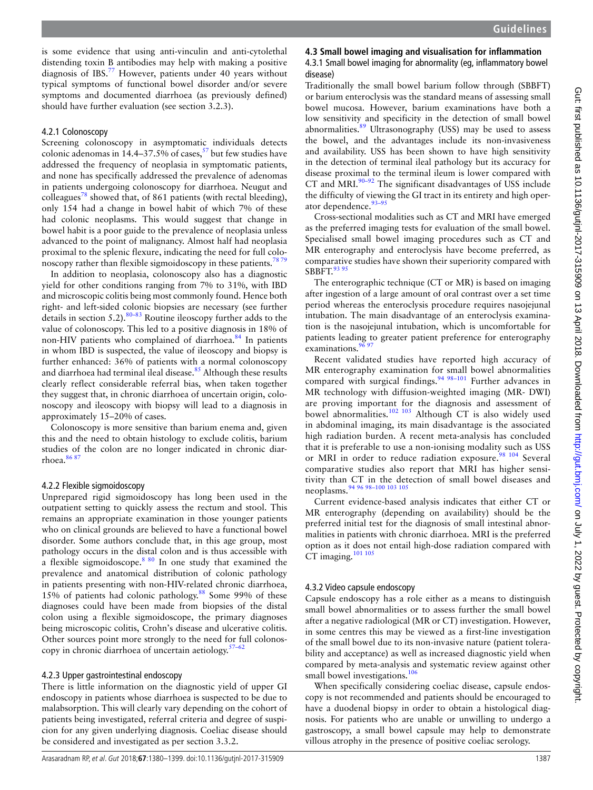is some evidence that using anti-vinculin and anti-cytolethal distending toxin B antibodies may help with making a positive diagnosis of IBS.[77](#page-16-25) However, patients under 40 years without typical symptoms of functional bowel disorder and/or severe symptoms and documented diarrhoea (as previously defined) should have further evaluation (see section 3.2.3).

#### 4.2.1 Colonoscopy

Screening colonoscopy in asymptomatic individuals detects colonic adenomas in 14.4–37.5% of cases, $57$  but few studies have addressed the frequency of neoplasia in symptomatic patients, and none has specifically addressed the prevalence of adenomas in patients undergoing colonoscopy for diarrhoea. Neugut and colleagues<sup>78</sup> showed that, of 861 patients (with rectal bleeding), only 154 had a change in bowel habit of which 7% of these had colonic neoplasms. This would suggest that change in bowel habit is a poor guide to the prevalence of neoplasia unless advanced to the point of malignancy. Almost half had neoplasia proximal to the splenic flexure, indicating the need for full colonoscopy rather than flexible sigmoidoscopy in these patients.[78 79](#page-16-27)

In addition to neoplasia, colonoscopy also has a diagnostic yield for other conditions ranging from 7% to 31%, with IBD and microscopic colitis being most commonly found. Hence both right- and left-sided colonic biopsies are necessary (see further details in section 5.2).  $80-83$  Routine ileoscopy further adds to the value of colonoscopy. This led to a positive diagnosis in 18% of non-HIV patients who complained of diarrhoea.<sup>84</sup> In patients in whom IBD is suspected, the value of ileoscopy and biopsy is further enhanced: 36% of patients with a normal colonoscopy and diarrhoea had terminal ileal disease.<sup>[85](#page-16-30)</sup> Although these results clearly reflect considerable referral bias, when taken together they suggest that, in chronic diarrhoea of uncertain origin, colonoscopy and ileoscopy with biopsy will lead to a diagnosis in approximately 15–20% of cases.

Colonoscopy is more sensitive than barium enema and, given this and the need to obtain histology to exclude colitis, barium studies of the colon are no longer indicated in chronic diarrhoea. 86 87

## 4.2.2 Flexible sigmoidoscopy

Unprepared rigid sigmoidoscopy has long been used in the outpatient setting to quickly assess the rectum and stool. This remains an appropriate examination in those younger patients who on clinical grounds are believed to have a functional bowel disorder. Some authors conclude that, in this age group, most pathology occurs in the distal colon and is thus accessible with a flexible sigmoidoscope.<sup>[8 80](#page-15-7)</sup> In one study that examined the prevalence and anatomical distribution of colonic pathology in patients presenting with non-HIV-related chronic diarrhoea, 15% of patients had colonic pathology.[88](#page-16-32) Some 99% of these diagnoses could have been made from biopsies of the distal colon using a flexible sigmoidoscope, the primary diagnoses being microscopic colitis, Crohn's disease and ulcerative colitis. Other sources point more strongly to the need for full colonoscopy in chronic diarrhoea of uncertain aetiology. $57-62$ 

## 4.2.3 Upper gastrointestinal endoscopy

There is little information on the diagnostic yield of upper GI endoscopy in patients whose diarrhoea is suspected to be due to malabsorption. This will clearly vary depending on the cohort of patients being investigated, referral criteria and degree of suspicion for any given underlying diagnosis. Coeliac disease should be considered and investigated as per section 3.3.2.

## **4.3 Small bowel imaging and visualisation for inflammation**

## 4.3.1 Small bowel imaging for abnormality (eg, inflammatory bowel disease)

Traditionally the small bowel barium follow through (SBBFT) or barium enteroclysis was the standard means of assessing small bowel mucosa. However, barium examinations have both a low sensitivity and specificity in the detection of small bowel abnormalities.<sup>89</sup> Ultrasonography (USS) may be used to assess the bowel, and the advantages include its non-invasiveness and availability. USS has been shown to have high sensitivity in the detection of terminal ileal pathology but its accuracy for disease proximal to the terminal ileum is lower compared with CT and MRI. $90-92$  The significant disadvantages of USS include the difficulty of viewing the GI tract in its entirety and high operator dependence.<sup>93-95</sup>

Cross-sectional modalities such as CT and MRI have emerged as the preferred imaging tests for evaluation of the small bowel. Specialised small bowel imaging procedures such as CT and MR enterography and enteroclysis have become preferred, as comparative studies have shown their superiority compared with SBBFT.<sup>93</sup> 95

The enterographic technique (CT or MR) is based on imaging after ingestion of a large amount of oral contrast over a set time period whereas the enteroclysis procedure requires nasojejunal intubation. The main disadvantage of an enteroclysis examination is the nasojejunal intubation, which is uncomfortable for patients leading to greater patient preference for enterography examinations. $96$ 

Recent validated studies have reported high accuracy of MR enterography examination for small bowel abnormalities compared with surgical findings.<sup>94 98-101</sup> Further advances in MR technology with diffusion-weighted imaging (MR- DWI) are proving important for the diagnosis and assessment of bowel abnormalities.<sup>102 103</sup> Although CT is also widely used in abdominal imaging, its main disadvantage is the associated high radiation burden. A recent meta-analysis has concluded that it is preferable to use a non-ionising modality such as USS or MRI in order to reduce radiation exposure.<sup>[98 104](#page-17-4)</sup> Several comparative studies also report that MRI has higher sensitivity than CT in the detection of small bowel diseases and neoplasms.[94 96 98–100 103 105](#page-17-2)

Current evidence-based analysis indicates that either CT or MR enterography (depending on availability) should be the preferred initial test for the diagnosis of small intestinal abnormalities in patients with chronic diarrhoea. MRI is the preferred option as it does not entail high-dose radiation compared with CT imaging. $101 105$ 

## 4.3.2 Video capsule endoscopy

Capsule endoscopy has a role either as a means to distinguish small bowel abnormalities or to assess further the small bowel after a negative radiological (MR or CT) investigation. However, in some centres this may be viewed as a first-line investigation of the small bowel due to its non-invasive nature (patient tolerability and acceptance) as well as increased diagnostic yield when compared by meta-analysis and systematic review against other small bowel investigations.<sup>[106](#page-17-6)</sup>

When specifically considering coeliac disease, capsule endoscopy is not recommended and patients should be encouraged to have a duodenal biopsy in order to obtain a histological diagnosis. For patients who are unable or unwilling to undergo a gastroscopy, a small bowel capsule may help to demonstrate villous atrophy in the presence of positive coeliac serology.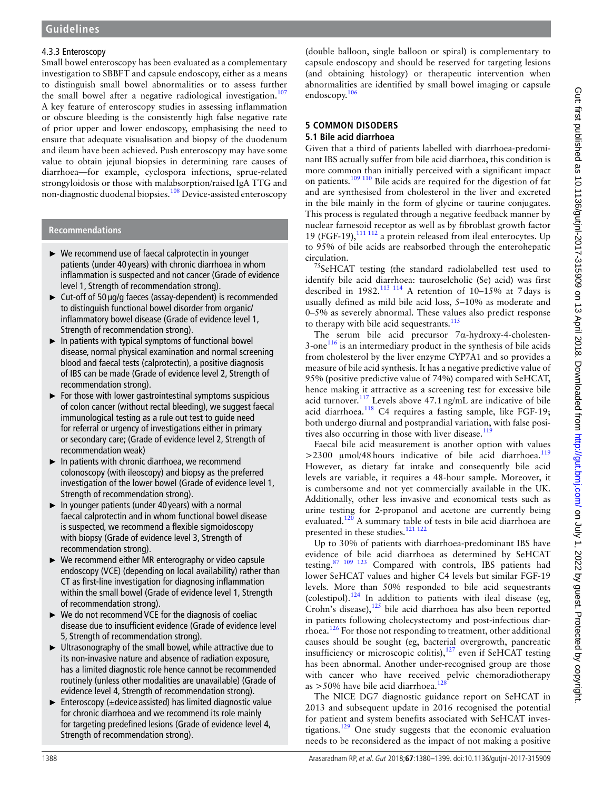## **Guidelines**

#### 4.3.3 Enteroscopy

Small bowel enteroscopy has been evaluated as a complementary investigation to SBBFT and capsule endoscopy, either as a means to distinguish small bowel abnormalities or to assess further the small bowel after a negative radiological investigation.<sup>[107](#page-17-7)</sup> A key feature of enteroscopy studies in assessing inflammation or obscure bleeding is the consistently high false negative rate of prior upper and lower endoscopy, emphasising the need to ensure that adequate visualisation and biopsy of the duodenum and ileum have been achieved. Push enteroscopy may have some value to obtain jejunal biopsies in determining rare causes of diarrhoea—for example, cyclospora infections, sprue-related strongyloidosis or those with malabsorption/raisedIgA TTG and non-diagnostic duodenal biopsies.[108](#page-17-8) Device-assisted enteroscopy

#### **Recommendations**

- ► We recommend use of faecal calprotectin in younger patients (under 40 years) with chronic diarrhoea in whom inflammation is suspected and not cancer (Grade of evidence level 1, Strength of recommendation strong).
- ► Cut-off of 50 μg/g faeces (assay-dependent) is recommended to distinguish functional bowel disorder from organic/ inflammatory bowel disease (Grade of evidence level 1, Strength of recommendation strong).
- ► In patients with typical symptoms of functional bowel disease, normal physical examination and normal screening blood and faecal tests (calprotectin), a positive diagnosis of IBS can be made (Grade of evidence level 2, Strength of recommendation strong).
- $\blacktriangleright$  For those with lower gastrointestinal symptoms suspicious of colon cancer (without rectal bleeding), we suggest faecal immunological testing as a rule out test to guide need for referral or urgency of investigations either in primary or secondary care; (Grade of evidence level 2, Strength of recommendation weak)
- ► In patients with chronic diarrhoea, we recommend colonoscopy (with ileoscopy) and biopsy as the preferred investigation of the lower bowel (Grade of evidence level 1, Strength of recommendation strong).
- $\blacktriangleright$  In younger patients (under 40 years) with a normal faecal calprotectin and in whom functional bowel disease is suspected, we recommend a flexible sigmoidoscopy with biopsy (Grade of evidence level 3, Strength of recommendation strong).
- ► We recommend either MR enterography or video capsule endoscopy (VCE) (depending on local availability) rather than CT as first-line investigation for diagnosing inflammation within the small bowel (Grade of evidence level 1, Strength of recommendation strong).
- ► We do not recommend VCE for the diagnosis of coeliac disease due to insufficient evidence (Grade of evidence level 5, Strength of recommendation strong).
- Ultrasonography of the small bowel, while attractive due to its non-invasive nature and absence of radiation exposure, has a limited diagnostic role hence cannot be recommended routinely (unless other modalities are unavailable) (Grade of evidence level 4, Strength of recommendation strong).
- $\blacktriangleright$  Enteroscopy ( $\pm$ device assisted) has limited diagnostic value for chronic diarrhoea and we recommend its role mainly for targeting predefined lesions (Grade of evidence level 4, Strength of recommendation strong).

(double balloon, single balloon or spiral) is complementary to capsule endoscopy and should be reserved for targeting lesions (and obtaining histology) or therapeutic intervention when abnormalities are identified by small bowel imaging or capsule endoscopy[.106](#page-17-6)

#### **5 Common disoders 5.1 Bile acid diarrhoea**

Given that a third of patients labelled with diarrhoea-predominant IBS actually suffer from bile acid diarrhoea, this condition is more common than initially perceived with a significant impact on patients[.109 110](#page-17-9) Bile acids are required for the digestion of fat and are synthesised from cholesterol in the liver and excreted in the bile mainly in the form of glycine or taurine conjugates. This process is regulated through a negative feedback manner by nuclear farnesoid receptor as well as by fibroblast growth factor 19 (FGF-19), $\frac{111 \times 112}{2}$  a protein released from ileal enterocytes. Up to 95% of bile acids are reabsorbed through the enterohepatic circulation.

<sup>75</sup>SeHCAT testing (the standard radiolabelled test used to identify bile acid diarrhoea: tauroselcholic (Se) acid) was first described in 1982.<sup>113 114</sup> A retention of 10-15% at 7 days is usually defined as mild bile acid loss, 5–10% as moderate and 0–5% as severely abnormal. These values also predict response to therapy with bile acid sequestrants. $115$ 

The serum bile acid precursor  $7\alpha$ -hydroxy-4-cholesten- $3$ -one<sup>116</sup> is an intermediary product in the synthesis of bile acids from cholesterol by the liver enzyme CYP7A1 and so provides a measure of bile acid synthesis. It has a negative predictive value of 95% (positive predictive value of 74%) compared with SeHCAT, hence making it attractive as a screening test for excessive bile acid turnover.<sup>117</sup> Levels above  $47.1$ ng/mL are indicative of bile acid diarrhoea.<sup>118</sup> C4 requires a fasting sample, like FGF-19; both undergo diurnal and postprandial variation, with false positives also occurring in those with liver disease.<sup>11</sup>

Faecal bile acid measurement is another option with values  $>$ 2300 umol/48 hours indicative of bile acid diarrhoea.<sup>[119](#page-17-16)</sup> However, as dietary fat intake and consequently bile acid levels are variable, it requires a 48-hour sample. Moreover, it is cumbersome and not yet commercially available in the UK. Additionally, other less invasive and economical tests such as urine testing for 2-propanol and acetone are currently being evaluated.<sup>120</sup> A summary table of tests in bile acid diarrhoea are presented in these studies. $\frac{121 \times 122}{122}$ 

Up to 30% of patients with diarrhoea-predominant IBS have evidence of bile acid diarrhoea as determined by SeHCAT testing.[87 109 123](#page-16-35) Compared with controls, IBS patients had lower SeHCAT values and higher C4 levels but similar FGF-19 levels. More than 50% responded to bile acid sequestrants (colestipol).[124](#page-17-19) In addition to patients with ileal disease (eg, Crohn's disease), $125$  bile acid diarrhoea has also been reported in patients following cholecystectomy and post-infectious diarrhoea.<sup>126</sup> For those not responding to treatment, other additional causes should be sought (eg, bacterial overgrowth, pancreatic insufficiency or microscopic colitis),[127](#page-17-22) even if SeHCAT testing has been abnormal. Another under-recognised group are those with cancer who have received pelvic chemoradiotherapy as  $>50\%$  have bile acid diarrhoea.<sup>12</sup>

The NICE DG7 diagnostic guidance report on SeHCAT in 2013 and subsequent update in 2016 recognised the potential for patient and system benefits associated with SeHCAT inves-tigations.<sup>[129](#page-17-24)</sup> One study suggests that the economic evaluation needs to be reconsidered as the impact of not making a positive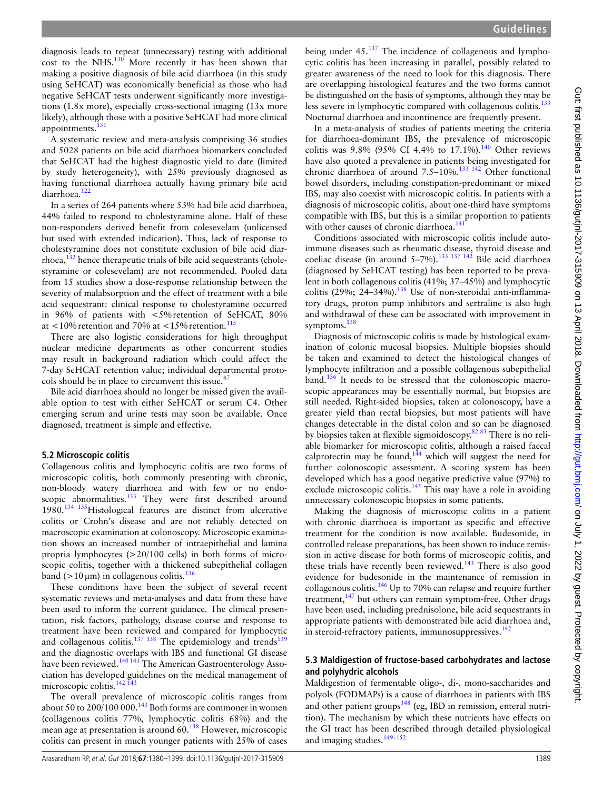diagnosis leads to repeat (unnecessary) testing with additional cost to the NHS. $130$  More recently it has been shown that making a positive diagnosis of bile acid diarrhoea (in this study using SeHCAT) was economically beneficial as those who had negative SeHCAT tests underwent significantly more investigations (1.8x more), especially cross-sectional imaging (13x more likely), although those with a positive SeHCAT had more clinical appointments.<sup>[131](#page-17-26)</sup>

A systematic review and meta-analysis comprising 36 studies and 5028 patients on bile acid diarrhoea biomarkers concluded that SeHCAT had the highest diagnostic yield to date (limited by study heterogeneity), with 25% previously diagnosed as having functional diarrhoea actually having primary bile acid diarrhoea.<sup>122</sup>

In a series of 264 patients where 53% had bile acid diarrhoea, 44% failed to respond to cholestyramine alone. Half of these non-responders derived benefit from colesevelam (unlicensed but used with extended indication). Thus, lack of response to cholestyramine does not constitute exclusion of bile acid diarrhoea, $^{132}$  hence therapeutic trials of bile acid sequestrants (cholestyramine or colesevelam) are not recommended. Pooled data from 15 studies show a dose-response relationship between the severity of malabsorption and the effect of treatment with a bile acid sequestrant: clinical response to cholestyramine occurred in 96% of patients with <5%retention of SeHCAT, 80% at  $\lt 10\%$  retention and 70% at  $\lt 15\%$  retention.<sup>[115](#page-17-12)</sup>

There are also logistic considerations for high throughput nuclear medicine departments as other concurrent studies may result in background radiation which could affect the 7-day SeHCAT retention value; individual departmental protocols should be in place to circumvent this issue. $\frac{8}{7}$ 

Bile acid diarrhoea should no longer be missed given the available option to test with either SeHCAT or serum C4. Other emerging serum and urine tests may soon be available. Once diagnosed, treatment is simple and effective.

#### **5.2 Microscopic colitis**

Collagenous colitis and lymphocytic colitis are two forms of microscopic colitis, both commonly presenting with chronic, non-bloody watery diarrhoea and with few or no endoscopic abnormalities.<sup>133</sup> They were first described around 1980.[134 135](#page-17-30)Histological features are distinct from ulcerative colitis or Crohn's disease and are not reliably detected on macroscopic examination at colonoscopy. Microscopic examination shows an increased number of intraepithelial and lamina propria lymphocytes (>20/100 cells) in both forms of microscopic colitis, together with a thickened subepithelial collagen band ( $>10 \mu m$ ) in collagenous colitis.<sup>136</sup>

These conditions have been the subject of several recent systematic reviews and meta-analyses and data from these have been used to inform the current guidance. The clinical presentation, risk factors, pathology, disease course and response to treatment have been reviewed and compared for lymphocytic and collagenous colitis.<sup>137</sup> <sup>138</sup> The epidemiology and trends<sup>[139](#page-17-33)</sup> and the diagnostic overlaps with IBS and functional GI disease have been reviewed.<sup>140 141</sup> The American Gastroenterology Association has developed guidelines on the medical management of microscopic colitis. $142$ <sup>1</sup>

The overall prevalence of microscopic colitis ranges from about 50 to  $200/100000$ .<sup>[143](#page-17-36)</sup> Both forms are commoner in women (collagenous colitis 77%, lymphocytic colitis 68%) and the mean age at presentation is around 60.[138](#page-17-37) However, microscopic colitis can present in much younger patients with 25% of cases

being under  $45.137$  The incidence of collagenous and lymphocytic colitis has been increasing in parallel, possibly related to greater awareness of the need to look for this diagnosis. There are overlapping histological features and the two forms cannot be distinguished on the basis of symptoms, although they may be less severe in lymphocytic compared with collagenous colitis.<sup>[133](#page-17-29)</sup> Nocturnal diarrhoea and incontinence are frequently present.

In a meta-analysis of studies of patients meeting the criteria for diarrhoea-dominant IBS, the prevalence of microscopic colitis was 9.8% (95% CI 4.4% to  $17.1\%$ ).<sup>140</sup> Other reviews have also quoted a prevalence in patients being investigated for chronic diarrhoea of around  $7.5-10\%$ .<sup>133 142</sup> Other functional bowel disorders, including constipation-predominant or mixed IBS, may also coexist with microscopic colitis. In patients with a diagnosis of microscopic colitis, about one-third have symptoms compatible with IBS, but this is a similar proportion to patients with other causes of chronic diarrhoea.<sup>[141](#page-17-38)</sup>

Conditions associated with microscopic colitis include autoimmune diseases such as rheumatic disease, thyroid disease and coeliac disease (in around  $5-7\%$ ).<sup>133 137 142</sup> Bile acid diarrhoea (diagnosed by SeHCAT testing) has been reported to be prevalent in both collagenous colitis (41%; 37–45%) and lymphocytic colitis (29%; 24–34%).<sup>138</sup> Use of non-steroidal anti-inflammatory drugs, proton pump inhibitors and sertraline is also high and withdrawal of these can be associated with improvement in symptoms.<sup>[138](#page-17-37)</sup>

Diagnosis of microscopic colitis is made by histological examination of colonic mucosal biopsies. Multiple biopsies should be taken and examined to detect the histological changes of lymphocyte infiltration and a possible collagenous subepithelial band.<sup>136</sup> It needs to be stressed that the colonoscopic macroscopic appearances may be essentially normal, but biopsies are still needed. Right-sided biopsies, taken at colonoscopy, have a greater yield than rectal biopsies, but most patients will have changes detectable in the distal colon and so can be diagnosed by biopsies taken at flexible sigmoidoscopy[.82 83](#page-16-36) There is no reliable biomarker for microscopic colitis, although a raised faecal calprotectin may be found, $1/44$  which will suggest the need for further colonoscopic assessment. A scoring system has been developed which has a good negative predictive value (97%) to exclude microscopic colitis.<sup>145</sup> This may have a role in avoiding unnecessary colonoscopic biopsies in some patients.

Making the diagnosis of microscopic colitis in a patient with chronic diarrhoea is important as specific and effective treatment for the condition is now available. Budesonide, in controlled release preparations, has been shown to induce remission in active disease for both forms of microscopic colitis, and these trials have recently been reviewed. $143$  There is also good evidence for budesonide in the maintenance of remission in collagenous colitis.<sup>146</sup> Up to 70% can relapse and require further treatment,<sup>147</sup> but others can remain symptom-free. Other drugs have been used, including prednisolone, bile acid sequestrants in appropriate patients with demonstrated bile acid diarrhoea and, in steroid-refractory patients, immunosuppressives. $142$ 

### **5.3 Maldigestion of fructose-based carbohydrates and lactose and polyhydric alcohols**

Maldigestion of fermentable oligo-, di-, mono-saccharides and polyols (FODMAPs) is a cause of diarrhoea in patients with IBS and other patient groups<sup>148</sup> (eg, IBD in remission, enteral nutrition). The mechanism by which these nutrients have effects on the GI tract has been described through detailed physiological and imaging studies.<sup>149-152</sup>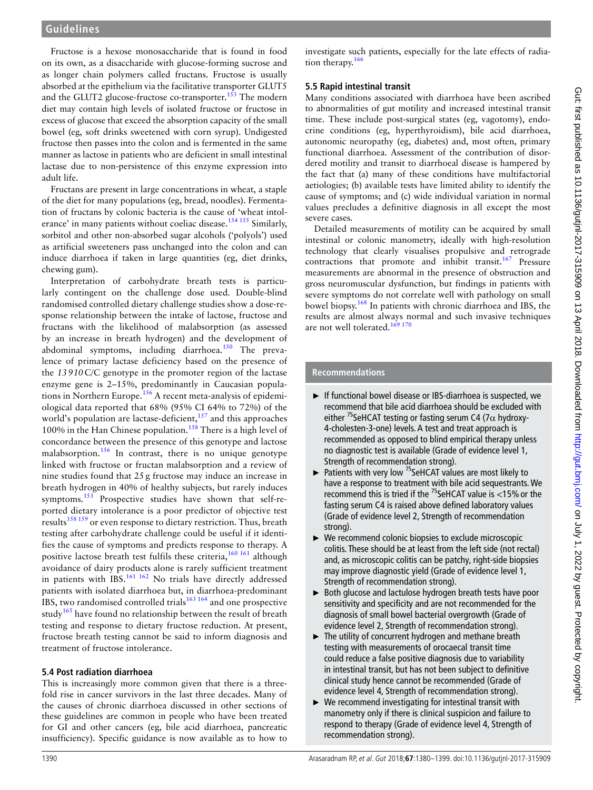Fructose is a hexose monosaccharide that is found in food on its own, as a disaccharide with glucose-forming sucrose and as longer chain polymers called fructans. Fructose is usually absorbed at the epithelium via the facilitative transporter GLUT5 and the GLUT2 glucose-fructose co-transporter.<sup>153</sup> The modern diet may contain high levels of isolated fructose or fructose in excess of glucose that exceed the absorption capacity of the small bowel (eg, soft drinks sweetened with corn syrup). Undigested fructose then passes into the colon and is fermented in the same manner as lactose in patients who are deficient in small intestinal lactase due to non-persistence of this enzyme expression into adult life.

Fructans are present in large concentrations in wheat, a staple of the diet for many populations (eg, bread, noodles). Fermentation of fructans by colonic bacteria is the cause of 'wheat intolerance' in many patients without coeliac disease.<sup>154 155</sup> Similarly, sorbitol and other non-absorbed sugar alcohols ('polyols') used as artificial sweeteners pass unchanged into the colon and can induce diarrhoea if taken in large quantities (eg, diet drinks, chewing gum).

Interpretation of carbohydrate breath tests is particularly contingent on the challenge dose used. Double-blind randomised controlled dietary challenge studies show a dose-response relationship between the intake of lactose, fructose and fructans with the likelihood of malabsorption (as assessed by an increase in breath hydrogen) and the development of abdominal symptoms, including diarrhoea.<sup>150</sup> The prevalence of primary lactase deficiency based on the presence of the *13910*C/C genotype in the promoter region of the lactase enzyme gene is 2–15%, predominantly in Caucasian popula-tions in Northern Europe.<sup>[156](#page-18-5)</sup> A recent meta-analysis of epidemiological data reported that 68% (95% CI 64% to 72%) of the world's population are lactase-deficient,<sup>157</sup> and this approaches 100% in the Han Chinese population.<sup>[158](#page-18-7)</sup> There is a high level of concordance between the presence of this genotype and lactose malabsorption.<sup>156</sup> In contrast, there is no unique genotype linked with fructose or fructan malabsorption and a review of nine studies found that 25 g fructose may induce an increase in breath hydrogen in 40% of healthy subjects, but rarely induces symptoms.<sup>153</sup> Prospective studies have shown that self-reported dietary intolerance is a poor predictor of objective test results<sup>158</sup> 159 or even response to dietary restriction. Thus, breath testing after carbohydrate challenge could be useful if it identifies the cause of symptoms and predicts response to therapy. A positive lactose breath test fulfils these criteria,  $160 161$  although avoidance of dairy products alone is rarely sufficient treatment in patients with IBS.<sup>161 162</sup> No trials have directly addressed patients with isolated diarrhoea but, in diarrhoea-predominant IBS, two randomised controlled trials<sup>163 164</sup> and one prospective study<sup>165</sup> have found no relationship between the result of breath testing and response to dietary fructose reduction. At present, fructose breath testing cannot be said to inform diagnosis and treatment of fructose intolerance.

## **5.4 Post radiation diarrhoea**

This is increasingly more common given that there is a threefold rise in cancer survivors in the last three decades. Many of the causes of chronic diarrhoea discussed in other sections of these guidelines are common in people who have been treated for GI and other cancers (eg, bile acid diarrhoea, pancreatic insufficiency). Specific guidance is now available as to how to

investigate such patients, especially for the late effects of radiation therapy. $166$ 

## **5.5 Rapid intestinal transit**

Many conditions associated with diarrhoea have been ascribed to abnormalities of gut motility and increased intestinal transit time. These include post-surgical states (eg, vagotomy), endocrine conditions (eg, hyperthyroidism), bile acid diarrhoea, autonomic neuropathy (eg, diabetes) and, most often, primary functional diarrhoea. Assessment of the contribution of disordered motility and transit to diarrhoeal disease is hampered by the fact that (a) many of these conditions have multifactorial aetiologies; (b) available tests have limited ability to identify the cause of symptoms; and (c) wide individual variation in normal values precludes a definitive diagnosis in all except the most severe cases.

Detailed measurements of motility can be acquired by small intestinal or colonic manometry, ideally with high-resolution technology that clearly visualises propulsive and retrograde contractions that promote and inhibit transit.<sup>167</sup> Pressure measurements are abnormal in the presence of obstruction and gross neuromuscular dysfunction, but findings in patients with severe symptoms do not correlate well with pathology on small bowel biopsy.[168](#page-18-14) In patients with chronic diarrhoea and IBS, the results are almost always normal and such invasive techniques are not well tolerated.<sup>169</sup> 170

## **Recommendations**

- ► If functional bowel disease or IBS-diarrhoea is suspected, we recommend that bile acid diarrhoea should be excluded with either <sup>75</sup>SeHCAT testing or fasting serum C4 (7 $\alpha$  hydroxy-4-cholesten-3-one) levels. A test and treat approach is recommended as opposed to blind empirical therapy unless no diagnostic test is available (Grade of evidence level 1, Strength of recommendation strong).
- ► Patients with very low <sup>75</sup> SeHCAT values are most likely to have a response to treatment with bile acid sequestrants. We recommend this is tried if the  $75$ SeHCAT value is  $<$ 15% or the fasting serum C4 is raised above defined laboratory values (Grade of evidence level 2, Strength of recommendation strong).
- ► We recommend colonic biopsies to exclude microscopic colitis. These should be at least from the left side (not rectal) and, as microscopic colitis can be patchy, right-side biopsies may improve diagnostic yield (Grade of evidence level 1, Strength of recommendation strong).
- ► Both glucose and lactulose hydrogen breath tests have poor sensitivity and specificity and are not recommended for the diagnosis of small bowel bacterial overgrowth (Grade of evidence level 2, Strength of recommendation strong).
- ► The utility of concurrent hydrogen and methane breath testing with measurements of orocaecal transit time could reduce a false positive diagnosis due to variability in intestinal transit, but has not been subject to definitive clinical study hence cannot be recommended (Grade of evidence level 4, Strength of recommendation strong).
- ► We recommend investigating for intestinal transit with manometry only if there is clinical suspicion and failure to respond to therapy (Grade of evidence level 4, Strength of recommendation strong).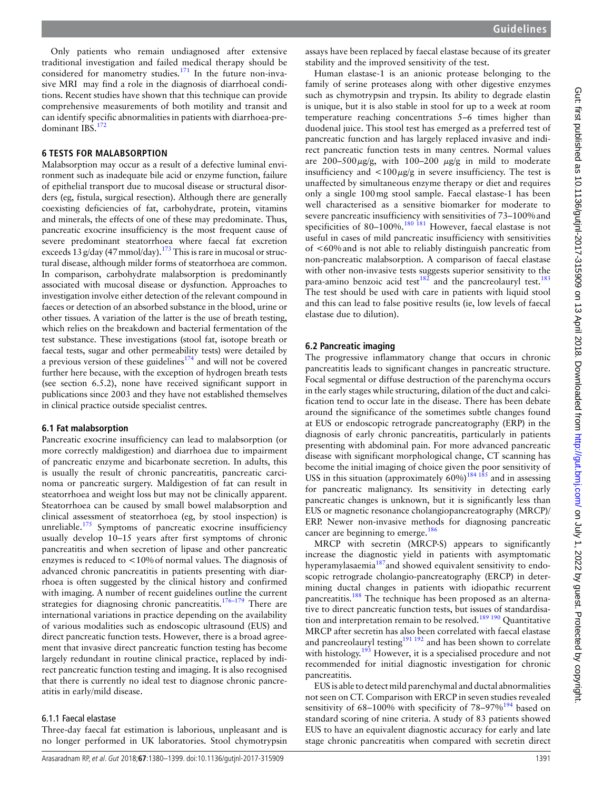Only patients who remain undiagnosed after extensive traditional investigation and failed medical therapy should be considered for manometry studies. $171$  In the future non-invasive MRI may find a role in the diagnosis of diarrhoeal conditions. Recent studies have shown that this technique can provide comprehensive measurements of both motility and transit and can identify specific abnormalities in patients with diarrhoea-predominant IBS[.172](#page-18-17)

#### **6 Tests for malabsorption**

Malabsorption may occur as a result of a defective luminal environment such as inadequate bile acid or enzyme function, failure of epithelial transport due to mucosal disease or structural disorders (eg, fistula, surgical resection). Although there are generally coexisting deficiencies of fat, carbohydrate, protein, vitamins and minerals, the effects of one of these may predominate. Thus, pancreatic exocrine insufficiency is the most frequent cause of severe predominant steatorrhoea where faecal fat excretion exceeds 13 g/day (47 mmol/day).<sup>173</sup> This is rare in mucosal or structural disease, although milder forms of steatorrhoea are common. In comparison, carbohydrate malabsorption is predominantly associated with mucosal disease or dysfunction. Approaches to investigation involve either detection of the relevant compound in faeces or detection of an absorbed substance in the blood, urine or other tissues. A variation of the latter is the use of breath testing, which relies on the breakdown and bacterial fermentation of the test substance. These investigations (stool fat, isotope breath or faecal tests, sugar and other permeability tests) were detailed by a previous version of these guidelines $174$  and will not be covered further here because, with the exception of hydrogen breath tests (see section 6.5.2), none have received significant support in publications since 2003 and they have not established themselves in clinical practice outside specialist centres.

#### **6.1 Fat malabsorption**

Pancreatic exocrine insufficiency can lead to malabsorption (or more correctly maldigestion) and diarrhoea due to impairment of pancreatic enzyme and bicarbonate secretion. In adults, this is usually the result of chronic pancreatitis, pancreatic carcinoma or pancreatic surgery. Maldigestion of fat can result in steatorrhoea and weight loss but may not be clinically apparent. Steatorrhoea can be caused by small bowel malabsorption and clinical assessment of steatorrhoea (eg, by stool inspection) is unreliable. $175$  Symptoms of pancreatic exocrine insufficiency usually develop 10–15 years after first symptoms of chronic pancreatitis and when secretion of lipase and other pancreatic enzymes is reduced to <10%of normal values. The diagnosis of advanced chronic pancreatitis in patients presenting with diarrhoea is often suggested by the clinical history and confirmed with imaging. A number of recent guidelines outline the current strategies for diagnosing chronic pancreatitis.<sup>176–179</sup> There are international variations in practice depending on the availability of various modalities such as endoscopic ultrasound (EUS) and direct pancreatic function tests. However, there is a broad agreement that invasive direct pancreatic function testing has become largely redundant in routine clinical practice, replaced by indirect pancreatic function testing and imaging. It is also recognised that there is currently no ideal test to diagnose chronic pancreatitis in early/mild disease.

#### 6.1.1 Faecal elastase

Three-day faecal fat estimation is laborious, unpleasant and is no longer performed in UK laboratories. Stool chymotrypsin

assays have been replaced by faecal elastase because of its greater stability and the improved sensitivity of the test.

Human elastase-1 is an anionic protease belonging to the family of serine proteases along with other digestive enzymes such as chymotrypsin and trypsin. Its ability to degrade elastin is unique, but it is also stable in stool for up to a week at room temperature reaching concentrations 5–6 times higher than duodenal juice. This stool test has emerged as a preferred test of pancreatic function and has largely replaced invasive and indirect pancreatic function tests in many centres. Normal values are  $200-500\,\mu\text{g/g}$ , with 100-200  $\mu\text{g/g}$  in mild to moderate insufficiency and  $\langle 100 \mu g/g \rangle$  in severe insufficiency. The test is unaffected by simultaneous enzyme therapy or diet and requires only a single 100mg stool sample. Faecal elastase-1 has been well characterised as a sensitive biomarker for moderate to severe pancreatic insufficiency with sensitivities of 73–100%and specificities of 80–100%.<sup>[180 181](#page-18-22)</sup> However, faecal elastase is not useful in cases of mild pancreatic insufficiency with sensitivities of <60%and is not able to reliably distinguish pancreatic from non-pancreatic malabsorption. A comparison of faecal elastase with other non-invasive tests suggests superior sensitivity to the para-amino benzoic acid test<sup>182</sup> and the pancreolauryl test.<sup>183</sup> The test should be used with care in patients with liquid stool and this can lead to false positive results (ie, low levels of faecal elastase due to dilution).

#### **6.2 Pancreatic imaging**

The progressive inflammatory change that occurs in chronic pancreatitis leads to significant changes in pancreatic structure. Focal segmental or diffuse destruction of the parenchyma occurs in the early stages while structuring, dilation of the duct and calcification tend to occur late in the disease. There has been debate around the significance of the sometimes subtle changes found at EUS or endoscopic retrograde pancreatography (ERP) in the diagnosis of early chronic pancreatitis, particularly in patients presenting with abdominal pain. For more advanced pancreatic disease with significant morphological change, CT scanning has become the initial imaging of choice given the poor sensitivity of USS in this situation (approximately  $60\%$ )<sup>[184 185](#page-18-25)</sup> and in assessing for pancreatic malignancy. Its sensitivity in detecting early pancreatic changes is unknown, but it is significantly less than EUS or magnetic resonance cholangiopancreatography (MRCP)/ ERP. Newer non-invasive methods for diagnosing pancreatic cancer are beginning to emerge. $186$ 

MRCP with secretin (MRCP-S) appears to significantly increase the diagnostic yield in patients with asymptomatic hyperamylasaemia $187$  and showed equivalent sensitivity to endoscopic retrograde cholangio-pancreatography (ERCP) in determining ductal changes in patients with idiopathic recurrent pancreatitis.<sup>[188](#page-18-28)</sup> The technique has been proposed as an alternative to direct pancreatic function tests, but issues of standardisation and interpretation remain to be resolved.<sup>189 190</sup> Quantitative MRCP after secretin has also been correlated with faecal elastase and pancreolauryl testing $191 192$  and has been shown to correlate with histology.<sup>193</sup> However, it is a specialised procedure and not recommended for initial diagnostic investigation for chronic pancreatitis.

EUS is able to detect mild parenchymal and ductal abnormalities not seen on CT. Comparison with ERCP in seven studies revealed sensitivity of  $68-100\%$  with specificity of  $78-97\%^{194}$  $78-97\%^{194}$  $78-97\%^{194}$  based on standard scoring of nine criteria. A study of 83 patients showed EUS to have an equivalent diagnostic accuracy for early and late stage chronic pancreatitis when compared with secretin direct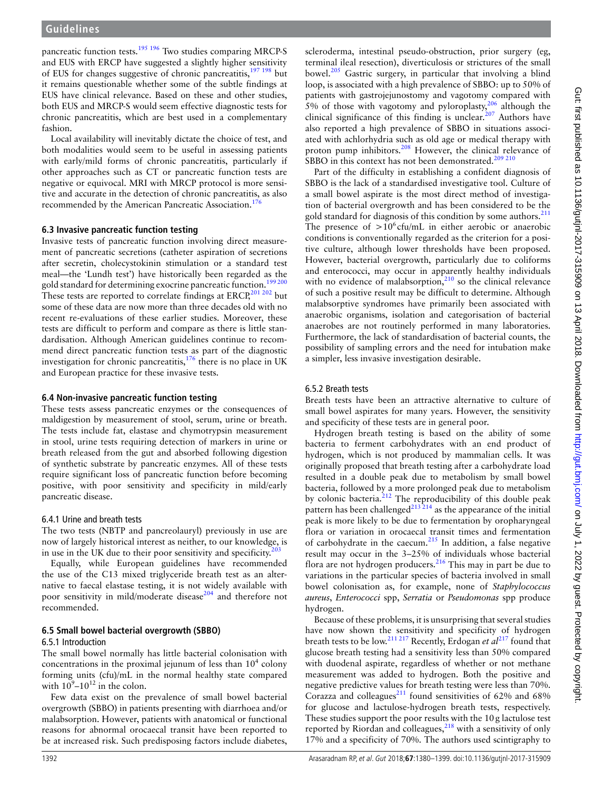pancreatic function tests.<sup>[195 196](#page-18-33)</sup> Two studies comparing MRCP-S and EUS with ERCP have suggested a slightly higher sensitivity of EUS for changes suggestive of chronic pancreatitis,<sup>[197 198](#page-18-34)</sup> but it remains questionable whether some of the subtle findings at EUS have clinical relevance. Based on these and other studies, both EUS and MRCP-S would seem effective diagnostic tests for chronic pancreatitis, which are best used in a complementary fashion.

Local availability will inevitably dictate the choice of test, and both modalities would seem to be useful in assessing patients with early/mild forms of chronic pancreatitis, particularly if other approaches such as CT or pancreatic function tests are negative or equivocal. MRI with MRCP protocol is more sensitive and accurate in the detection of chronic pancreatitis, as also recommended by the American Pancreatic Association.<sup>1</sup>

#### **6.3 Invasive pancreatic function testing**

Invasive tests of pancreatic function involving direct measurement of pancreatic secretions (catheter aspiration of secretions after secretin, cholecystokinin stimulation or a standard test meal—the 'Lundh test') have historically been regarded as the gold standard for determining exocrine pancreatic function.<sup>[199 200](#page-18-35)</sup> These tests are reported to correlate findings at ERCP,<sup>[201 202](#page-18-36)</sup> but some of these data are now more than three decades old with no recent re-evaluations of these earlier studies. Moreover, these tests are difficult to perform and compare as there is little standardisation. Although American guidelines continue to recommend direct pancreatic function tests as part of the diagnostic investigation for chronic pancreatitis,<sup>176</sup> there is no place in UK and European practice for these invasive tests.

#### **6.4 Non-invasive pancreatic function testing**

These tests assess pancreatic enzymes or the consequences of maldigestion by measurement of stool, serum, urine or breath. The tests include fat, elastase and chymotrypsin measurement in stool, urine tests requiring detection of markers in urine or breath released from the gut and absorbed following digestion of synthetic substrate by pancreatic enzymes. All of these tests require significant loss of pancreatic function before becoming positive, with poor sensitivity and specificity in mild/early pancreatic disease.

## 6.4.1 Urine and breath tests

The two tests (NBTP and pancreolauryl) previously in use are now of largely historical interest as neither, to our knowledge, is in use in the UK due to their poor sensitivity and specificity.  $203$ 

Equally, while European guidelines have recommended the use of the C13 mixed triglyceride breath test as an alternative to faecal elastase testing, it is not widely available with poor sensitivity in mild/moderate disease<sup>[204](#page-18-38)</sup> and therefore not recommended.

## **6.5 Small bowel bacterial overgrowth (SBBO)**

## 6.5.1 Introduction

The small bowel normally has little bacterial colonisation with concentrations in the proximal jejunum of less than  $10<sup>4</sup>$  colony forming units (cfu)/mL in the normal healthy state compared with  $10^9 - 10^{12}$  in the colon.

Few data exist on the prevalence of small bowel bacterial overgrowth (SBBO) in patients presenting with diarrhoea and/or malabsorption. However, patients with anatomical or functional reasons for abnormal orocaecal transit have been reported to be at increased risk. Such predisposing factors include diabetes,

scleroderma, intestinal pseudo-obstruction, prior surgery (eg, terminal ileal resection), diverticulosis or strictures of the small bowel.<sup>205</sup> Gastric surgery, in particular that involving a blind loop, is associated with a high prevalence of SBBO: up to 50% of patients with gastrojejunostomy and vagotomy compared with 5% of those with vagotomy and pyloroplasty, $206$  although the clinical significance of this finding is unclear.<sup>207</sup> Authors have also reported a high prevalence of SBBO in situations associated with achlorhydria such as old age or medical therapy with proton pump inhibitors.<sup>[208](#page-19-2)</sup> However, the clinical relevance of SBBO in this context has not been demonstrated. $209\,210$ 

Part of the difficulty in establishing a confident diagnosis of SBBO is the lack of a standardised investigative tool. Culture of a small bowel aspirate is the most direct method of investigation of bacterial overgrowth and has been considered to be the gold standard for diagnosis of this condition by some authors.<sup>[211](#page-19-4)</sup> The presence of  $>10^6$  cfu/mL in either aerobic or anaerobic conditions is conventionally regarded as the criterion for a positive culture, although lower thresholds have been proposed. However, bacterial overgrowth, particularly due to coliforms and enterococci, may occur in apparently healthy individuals with no evidence of malabsorption, $210$  so the clinical relevance of such a positive result may be difficult to determine. Although malabsorptive syndromes have primarily been associated with anaerobic organisms, isolation and categorisation of bacterial anaerobes are not routinely performed in many laboratories. Furthermore, the lack of standardisation of bacterial counts, the possibility of sampling errors and the need for intubation make a simpler, less invasive investigation desirable.

## 6.5.2 Breath tests

Breath tests have been an attractive alternative to culture of small bowel aspirates for many years. However, the sensitivity and specificity of these tests are in general poor.

Hydrogen breath testing is based on the ability of some bacteria to ferment carbohydrates with an end product of hydrogen, which is not produced by mammalian cells. It was originally proposed that breath testing after a carbohydrate load resulted in a double peak due to metabolism by small bowel bacteria, followed by a more prolonged peak due to metabolism by colonic bacteria.<sup>212</sup> The reproducibility of this double peak pattern has been challenged<sup>[213 214](#page-19-7)</sup> as the appearance of the initial peak is more likely to be due to fermentation by oropharyngeal flora or variation in orocaecal transit times and fermentation of carbohydrate in the caecum[.215](#page-19-8) In addition, a false negative result may occur in the 3–25% of individuals whose bacterial flora are not hydrogen producers. $216$  This may in part be due to variations in the particular species of bacteria involved in small bowel colonisation as, for example, none of *Staphylococcus aureus*, *Enterococci* spp, *Serratia* or *Pseudomonas* spp produce hydrogen.

Because of these problems, it is unsurprising that several studies have now shown the sensitivity and specificity of hydrogen breath tests to be low.<sup>211 217</sup> Recently, Erdogan *et al*<sup>217</sup> found that glucose breath testing had a sensitivity less than 50% compared with duodenal aspirate, regardless of whether or not methane measurement was added to hydrogen. Both the positive and negative predictive values for breath testing were less than 70%. Corazza and colleagues $^{211}$  found sensitivities of 62% and 68% for glucose and lactulose-hydrogen breath tests, respectively. These studies support the poor results with the 10g lactulose test reported by Riordan and colleagues, $^{218}$  $^{218}$  $^{218}$  with a sensitivity of only 17% and a specificity of 70%. The authors used scintigraphy to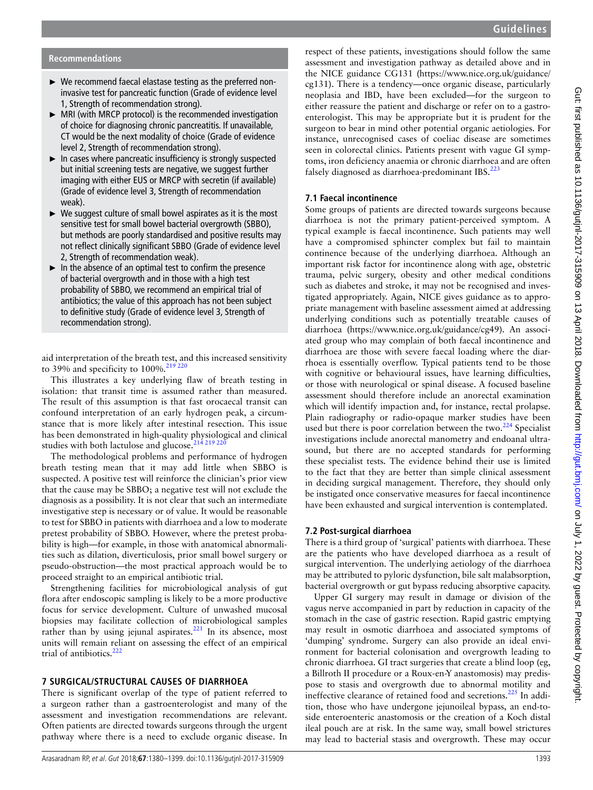## **Recommendations**

- ► We recommend faecal elastase testing as the preferred noninvasive test for pancreatic function (Grade of evidence level 1, Strength of recommendation strong).
- ► MRI (with MRCP protocol) is the recommended investigation of choice for diagnosing chronic pancreatitis. If unavailable, CT would be the next modality of choice (Grade of evidence level 2, Strength of recommendation strong).
- ► In cases where pancreatic insufficiency is strongly suspected but initial screening tests are negative, we suggest further imaging with either EUS or MRCP with secretin (if available) (Grade of evidence level 3, Strength of recommendation weak).
- $\triangleright$  We suggest culture of small bowel aspirates as it is the most sensitive test for small bowel bacterial overgrowth (SBBO), but methods are poorly standardised and positive results may not reflect clinically significant SBBO (Grade of evidence level 2, Strength of recommendation weak).
- ► In the absence of an optimal test to confirm the presence of bacterial overgrowth and in those with a high test probability of SBBO, we recommend an empirical trial of antibiotics; the value of this approach has not been subject to definitive study (Grade of evidence level 3, Strength of recommendation strong).

aid interpretation of the breath test, and this increased sensitivity to 39% and specificity to  $100\%$ <sup>[219 220](#page-19-12)</sup>

This illustrates a key underlying flaw of breath testing in isolation: that transit time is assumed rather than measured. The result of this assumption is that fast orocaecal transit can confound interpretation of an early hydrogen peak, a circumstance that is more likely after intestinal resection. This issue has been demonstrated in high-quality physiological and clinical studies with both lactulose and glucose. $21421922$ 

The methodological problems and performance of hydrogen breath testing mean that it may add little when SBBO is suspected. A positive test will reinforce the clinician's prior view that the cause may be SBBO; a negative test will not exclude the diagnosis as a possibility. It is not clear that such an intermediate investigative step is necessary or of value. It would be reasonable to test for SBBO in patients with diarrhoea and a low to moderate pretest probability of SBBO. However, where the pretest probability is high—for example, in those with anatomical abnormalities such as dilation, diverticulosis, prior small bowel surgery or pseudo-obstruction—the most practical approach would be to proceed straight to an empirical antibiotic trial.

Strengthening facilities for microbiological analysis of gut flora after endoscopic sampling is likely to be a more productive focus for service development. Culture of unwashed mucosal biopsies may facilitate collection of microbiological samples rather than by using jejunal aspirates.<sup>221</sup> In its absence, most units will remain reliant on assessing the effect of an empirical trial of antibiotics. $222$ 

## **7 Surgical/structural causes of diarrhoea**

There is significant overlap of the type of patient referred to a surgeon rather than a gastroenterologist and many of the assessment and investigation recommendations are relevant. Often patients are directed towards surgeons through the urgent pathway where there is a need to exclude organic disease. In

respect of these patients, investigations should follow the same assessment and investigation pathway as detailed above and in the NICE guidance CG131 ([https://www.nice.org.uk/guidance/](https://www.nice.org.uk/guidance/cg131.) [cg131](https://www.nice.org.uk/guidance/cg131.)). There is a tendency—once organic disease, particularly neoplasia and IBD, have been excluded—for the surgeon to either reassure the patient and discharge or refer on to a gastroenterologist. This may be appropriate but it is prudent for the surgeon to bear in mind other potential organic aetiologies. For instance, unrecognised cases of coeliac disease are sometimes seen in colorectal clinics. Patients present with vague GI symptoms, iron deficiency anaemia or chronic diarrhoea and are often falsely diagnosed as diarrhoea-predominant IBS. $^{223}$ 

## **7.1 Faecal incontinence**

Some groups of patients are directed towards surgeons because diarrhoea is not the primary patient-perceived symptom. A typical example is faecal incontinence. Such patients may well have a compromised sphincter complex but fail to maintain continence because of the underlying diarrhoea. Although an important risk factor for incontinence along with age, obstetric trauma, pelvic surgery, obesity and other medical conditions such as diabetes and stroke, it may not be recognised and investigated appropriately. Again, NICE gives guidance as to appropriate management with baseline assessment aimed at addressing underlying conditions such as potentially treatable causes of diarrhoea ([https://www.nice.org.uk/guidance/cg49\)](https://www.nice.org.uk/guidance/cg49.). An associated group who may complain of both faecal incontinence and diarrhoea are those with severe faecal loading where the diarrhoea is essentially overflow. Typical patients tend to be those with cognitive or behavioural issues, have learning difficulties, or those with neurological or spinal disease. A focused baseline assessment should therefore include an anorectal examination which will identify impaction and, for instance, rectal prolapse. Plain radiography or radio-opaque marker studies have been used but there is poor correlation between the two. $^{224}$  $^{224}$  $^{224}$  Specialist investigations include anorectal manometry and endoanal ultrasound, but there are no accepted standards for performing these specialist tests. The evidence behind their use is limited to the fact that they are better than simple clinical assessment in deciding surgical management. Therefore, they should only be instigated once conservative measures for faecal incontinence have been exhausted and surgical intervention is contemplated.

## **7.2 Post-surgical diarrhoea**

There is a third group of 'surgical' patients with diarrhoea. These are the patients who have developed diarrhoea as a result of surgical intervention. The underlying aetiology of the diarrhoea may be attributed to pyloric dysfunction, bile salt malabsorption, bacterial overgrowth or gut bypass reducing absorptive capacity.

Upper GI surgery may result in damage or division of the vagus nerve accompanied in part by reduction in capacity of the stomach in the case of gastric resection. Rapid gastric emptying may result in osmotic diarrhoea and associated symptoms of 'dumping' syndrome. Surgery can also provide an ideal environment for bacterial colonisation and overgrowth leading to chronic diarrhoea. GI tract surgeries that create a blind loop (eg, a Billroth II procedure or a Roux-en-Y anastomosis) may predispose to stasis and overgrowth due to abnormal motility and ineffective clearance of retained food and secretions.<sup>225</sup> In addition, those who have undergone jejunoileal bypass, an end-toside enteroenteric anastomosis or the creation of a Koch distal ileal pouch are at risk. In the same way, small bowel strictures may lead to bacterial stasis and overgrowth. These may occur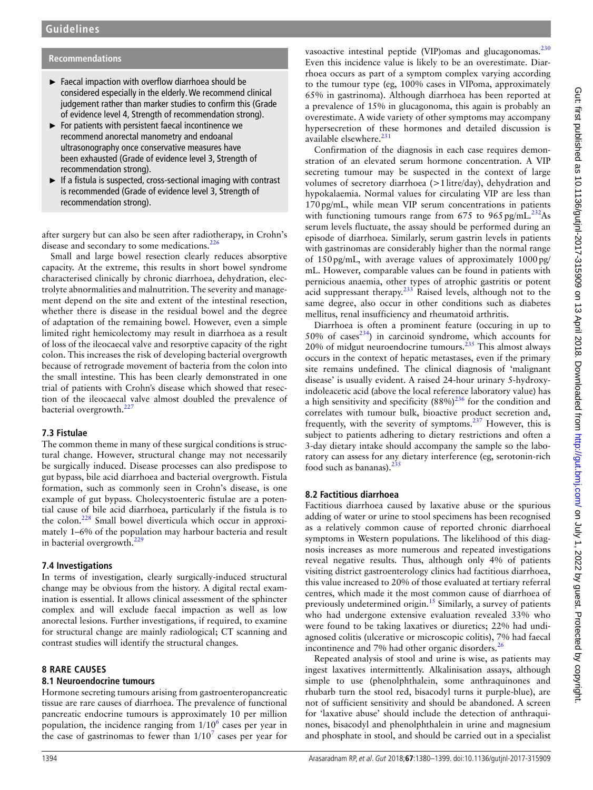#### **Recommendations**

- ► Faecal impaction with overflow diarrhoea should be considered especially in the elderly. We recommend clinical judgement rather than marker studies to confirm this (Grade of evidence level 4, Strength of recommendation strong).
- ► For patients with persistent faecal incontinence we recommend anorectal manometry and endoanal ultrasonography once conservative measures have been exhausted (Grade of evidence level 3, Strength of recommendation strong).
- ► If a fistula is suspected, cross-sectional imaging with contrast is recommended (Grade of evidence level 3, Strength of recommendation strong).

after surgery but can also be seen after radiotherapy, in Crohn's disease and secondary to some medications.<sup>[226](#page-19-19)</sup>

Small and large bowel resection clearly reduces absorptive capacity. At the extreme, this results in short bowel syndrome characterised clinically by chronic diarrhoea, dehydration, electrolyte abnormalities and malnutrition. The severity and management depend on the site and extent of the intestinal resection, whether there is disease in the residual bowel and the degree of adaptation of the remaining bowel. However, even a simple limited right hemicolectomy may result in diarrhoea as a result of loss of the ileocaecal valve and resorptive capacity of the right colon. This increases the risk of developing bacterial overgrowth because of retrograde movement of bacteria from the colon into the small intestine. This has been clearly demonstrated in one trial of patients with Crohn's disease which showed that resection of the ileocaecal valve almost doubled the prevalence of bacterial overgrowth.<sup>[227](#page-19-20)</sup>

#### **7.3 Fistulae**

The common theme in many of these surgical conditions is structural change. However, structural change may not necessarily be surgically induced. Disease processes can also predispose to gut bypass, bile acid diarrhoea and bacterial overgrowth. Fistula formation, such as commonly seen in Crohn's disease, is one example of gut bypass. Cholecystoenteric fistulae are a potential cause of bile acid diarrhoea, particularly if the fistula is to the colon.[228](#page-19-21) Small bowel diverticula which occur in approximately 1–6% of the population may harbour bacteria and result in bacterial overgrowth.<sup>[229](#page-19-22)</sup>

#### **7.4 Investigations**

In terms of investigation, clearly surgically-induced structural change may be obvious from the history. A digital rectal examination is essential. It allows clinical assessment of the sphincter complex and will exclude faecal impaction as well as low anorectal lesions. Further investigations, if required, to examine for structural change are mainly radiological; CT scanning and contrast studies will identify the structural changes.

#### **8 Rare causes**

#### **8.1 Neuroendocrine tumours**

Hormone secreting tumours arising from gastroenteropancreatic tissue are rare causes of diarrhoea. The prevalence of functional pancreatic endocrine tumours is approximately 10 per million population, the incidence ranging from  $1/10<sup>6</sup>$  $1/10<sup>6</sup>$  $1/10<sup>6</sup>$  cases per year in the case of gastrinomas to fewer than  $1/10<sup>7</sup>$  cases per year for

vasoactive intestinal peptide (VIP)omas and glucagonomas.<sup>[230](#page-19-23)</sup> Even this incidence value is likely to be an overestimate. Diarrhoea occurs as part of a symptom complex varying according to the tumour type (eg, 100% cases in VIPoma, approximately 65% in gastrinoma). Although diarrhoea has been reported at a prevalence of 15% in glucagonoma, this again is probably an overestimate. A wide variety of other symptoms may accompany hypersecretion of these hormones and detailed discussion is available elsewhere. $^{231}$  $^{231}$  $^{231}$ 

Confirmation of the diagnosis in each case requires demonstration of an elevated serum hormone concentration. A VIP secreting tumour may be suspected in the context of large volumes of secretory diarrhoea (>1litre/day), dehydration and hypokalaemia. Normal values for circulating VIP are less than 170pg/mL, while mean VIP serum concentrations in patients with functioning tumours range from  $675$  to  $965$  pg/mL.<sup>232</sup>As serum levels fluctuate, the assay should be performed during an episode of diarrhoea. Similarly, serum gastrin levels in patients with gastrinomas are considerably higher than the normal range of  $150 \text{ pg/mL}$ , with average values of approximately  $1000 \text{ pg}$ mL. However, comparable values can be found in patients with pernicious anaemia, other types of atrophic gastritis or potent acid suppressant therapy.<sup>233</sup> Raised levels, although not to the same degree, also occur in other conditions such as diabetes mellitus, renal insufficiency and rheumatoid arthritis.

Diarrhoea is often a prominent feature (occuring in up to 50% of cases $^{234}$ ) in carcinoid syndrome, which accounts for 20% of midgut neuroendocrine tumours.<sup>235</sup> This almost always occurs in the context of hepatic metastases, even if the primary site remains undefined. The clinical diagnosis of 'malignant disease' is usually evident. A raised 24-hour urinary 5-hydroxyindoleacetic acid (above the local reference laboratory value) has a high sensitivity and specificity  $(88\%)^{236}$  for the condition and correlates with tumour bulk, bioactive product secretion and, frequently, with the severity of symptoms. $237$  However, this is subject to patients adhering to dietary restrictions and often a 3-day dietary intake should accompany the sample so the laboratory can assess for any dietary interference (eg, serotonin-rich food such as bananas).  $235$ 

#### **8.2 Factitious diarrhoea**

Factitious diarrhoea caused by laxative abuse or the spurious adding of water or urine to stool specimens has been recognised as a relatively common cause of reported chronic diarrhoeal symptoms in Western populations. The likelihood of this diagnosis increases as more numerous and repeated investigations reveal negative results. Thus, although only 4% of patients visiting district gastroenterology clinics had factitious diarrhoea, this value increased to 20% of those evaluated at tertiary referral centres, which made it the most common cause of diarrhoea of previously undetermined origin.<sup>15</sup> Similarly, a survey of patients who had undergone extensive evaluation revealed 33% who were found to be taking laxatives or diuretics; 22% had undiagnosed colitis (ulcerative or microscopic colitis), 7% had faecal incontinence and 7% had other organic disorders. $^{26}$  $^{26}$  $^{26}$ 

Repeated analysis of stool and urine is wise, as patients may ingest laxatives intermittently. Alkalinisation assays, although simple to use (phenolphthalein, some anthraquinones and rhubarb turn the stool red, bisacodyl turns it purple-blue), are not of sufficient sensitivity and should be abandoned. A screen for 'laxative abuse' should include the detection of anthraquinones, bisacodyl and phenolphthalein in urine and magnesium and phosphate in stool, and should be carried out in a specialist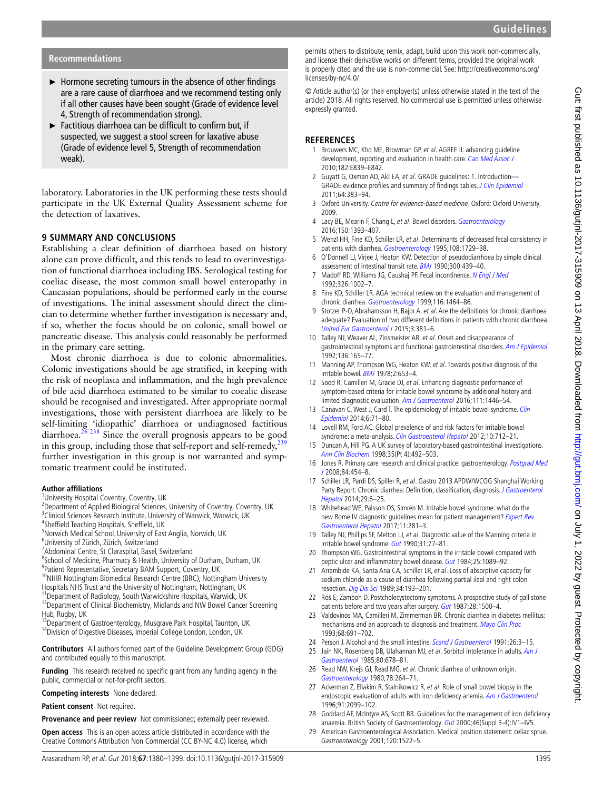#### **Recommendations**

- ► Hormone secreting tumours in the absence of other findings are a rare cause of diarrhoea and we recommend testing only if all other causes have been sought (Grade of evidence level 4, Strength of recommendation strong).
- ► Factitious diarrhoea can be difficult to confirm but, if suspected, we suggest a stool screen for laxative abuse (Grade of evidence level 5, Strength of recommendation weak).

laboratory. Laboratories in the UK performing these tests should participate in the UK External Quality Assessment scheme for the detection of laxatives.

#### **9 Summary and conclusions**

Establishing a clear definition of diarrhoea based on history alone can prove difficult, and this tends to lead to overinvestigation of functional diarrhoea including IBS. Serological testing for coeliac disease, the most common small bowel enteropathy in Caucasian populations, should be performed early in the course of investigations. The initial assessment should direct the clinician to determine whether further investigation is necessary and, if so, whether the focus should be on colonic, small bowel or pancreatic disease. This analysis could reasonably be performed in the primary care setting.

Most chronic diarrhoea is due to colonic abnormalities. Colonic investigations should be age stratified, in keeping with the risk of neoplasia and inflammation, and the high prevalence of bile acid diarrhoea estimated to be similar to coealic disease should be recognised and investigated. After appropriate normal investigations, those with persistent diarrhoea are likely to be self-limiting 'idiopathic' diarrhoea or undiagnosed factitious diarrhoea.<sup>26</sup><sup>238</sup> Since the overall prognosis appears to be good in this group, including those that self-report and self-remedy,  $239$ further investigation in this group is not warranted and symptomatic treatment could be instituted.

#### **Author affiliations**

- <sup>1</sup>University Hospital Coventry, Coventry, UK
- <sup>2</sup>Department of Applied Biological Sciences, University of Coventry, Coventry, UK <sup>3</sup>Clinical Sciences Research Institute, University of Warwick, Warwick, UK
- 4 Sheffield Teaching Hospitals, Sheffield, UK
- <sup>5</sup>Norwich Medical School, University of East Anglia, Norwich, UK
- 6 University of Zürich, Zürich, Switzerland
- <sup>7</sup> Abdominal Centre, St Claraspital, Basel, Switzerland
- <sup>8</sup>School of Medicine, Pharmacy & Health, University of Durham, Durham, UK
- <sup>9</sup> Patient Representative, Secretary BAM Support, Coventry, UK
- <sup>10</sup>NIHR Nottingham Biomedical Research Centre (BRC), Nottingham University Hospitals NHS Trust and the University of Nottingham, Nottingham, UK
- <sup>1</sup>Department of Radiology, South Warwickshire Hospitals, Warwick, UK
- <sup>12</sup>Department of Clinical Biochemistry, Midlands and NW Bowel Cancer Screening Hub, Rugby, UK
- <sup>13</sup>Department of Gastroenterology, Musgrave Park Hospital, Taunton, UK
- <sup>14</sup>Division of Digestive Diseases, Imperial College London, London, UK

**Contributors** All authors formed part of the Guideline Development Group (GDG) and contributed equally to this manuscript.

**Funding** This research received no specific grant from any funding agency in the public, commercial or not-for-profit sectors.

**Competing interests** None declared.

**Patient consent** Not required.

**Provenance and peer review** Not commissioned; externally peer reviewed.

**Open access** This is an open access article distributed in accordance with the Creative Commons Attribution Non Commercial (CC BY-NC 4.0) license, which

permits others to distribute, remix, adapt, build upon this work non-commercially, and license their derivative works on different terms, provided the original work is properly cited and the use is non-commercial. See: [http://creativecommons.org/](http://creativecommons.org/licenses/by-nc/4.0/) [licenses/by-nc/4.0/](http://creativecommons.org/licenses/by-nc/4.0/)

© Article author(s) (or their employer(s) unless otherwise stated in the text of the article) 2018. All rights reserved. No commercial use is permitted unless otherwise expressly granted.

## **References**

- <span id="page-15-0"></span>1 Brouwers MC, Kho ME, Browman GP, et al. AGREE II: advancing guideline development, reporting and evaluation in health care. [Can Med Assoc J](http://dx.doi.org/10.1503/cmaj.090449) 2010;182:E839–E842.
- <span id="page-15-1"></span>2 Guyatt G, Oxman AD, Akl EA, et al. GRADE quidelines: 1. Introduction-GRADE evidence profiles and summary of findings tables. *[J Clin Epidemiol](http://dx.doi.org/10.1016/j.jclinepi.2010.04.026)* 2011;64:383–94.
- <span id="page-15-2"></span>3 Oxford University. Centre for evidence-based medicine. Oxford: Oxford University, 2009.
- <span id="page-15-3"></span>4 Lacy BE, Mearin F, Chang L, et al. Bowel disorders. [Gastroenterology](http://dx.doi.org/10.1053/j.gastro.2016.02.031) 2016;150:1393–407.
- <span id="page-15-4"></span>5 Wenzl HH, Fine KD, Schiller LR, et al. Determinants of decreased fecal consistency in patients with diarrhea. [Gastroenterology](http://dx.doi.org/10.1016/0016-5085(95)90134-5) 1995;108:1729-38.
- <span id="page-15-5"></span>6 O'Donnell LJ, Virjee J, Heaton KW. Detection of pseudodiarrhoea by simple clinical assessment of intestinal transit rate. **[BMJ](http://dx.doi.org/10.1136/bmj.300.6722.439)** 1990;300:439-40.
- <span id="page-15-6"></span>7 Madoff RD, Williams JG, Caushaj PF. Fecal incontinence. [N Engl J Med](http://dx.doi.org/10.1056/NEJM199204093261507) 1992;326:1002–7.
- <span id="page-15-7"></span>8 Fine KD, Schiller LR. AGA technical review on the evaluation and management of chronic diarrhea. [Gastroenterology](http://dx.doi.org/10.1016/S0016-5085(99)70513-5) 1999;116:1464–86.
- <span id="page-15-8"></span>Stotzer P-O, Abrahamsson H, Bajor A, et al. Are the definitions for chronic diarrhoea adequate? Evaluation of two different definitions in patients with chronic diarrhoea. [United Eur Gastroenterol J](http://dx.doi.org/10.1177/2050640615580219) 2015;3:381–6.
- <span id="page-15-9"></span>10 Talley NJ, Weaver AL, Zinsmeister AR, et al. Onset and disappearance of gastrointestinal symptoms and functional gastrointestinal disorders. [Am J Epidemiol](http://dx.doi.org/10.1093/oxfordjournals.aje.a116483) 1992;136:165–77.
- <span id="page-15-10"></span>11 Manning AP, Thompson WG, Heaton KW, et al. Towards positive diagnosis of the irritable bowel. [BMJ](http://dx.doi.org/10.1136/bmj.2.6138.653) 1978;2:653–4.
- 12 Sood R, Camilleri M, Gracie DJ, et al. Enhancing diagnostic performance of symptom-based criteria for irritable bowel syndrome by additional history and limited diagnostic evaluation. [Am J Gastroenterol](http://dx.doi.org/10.1038/ajg.2016.308) 2016;111:1446-54.
- 13 Canavan C, West J, Card T. The epidemiology of irritable bowel syndrome. Clin [Epidemiol](http://dx.doi.org/10.2147/CLEP.S40245) 2014;6:71–80.
- 14 Lovell RM, Ford AC. Global prevalence of and risk factors for irritable bowel syndrome: a meta-analysis. [Clin Gastroenterol Hepatol](http://dx.doi.org/10.1016/j.cgh.2012.02.029) 2012;10:712-21.
- <span id="page-15-11"></span>15 Duncan A, Hill PG. A UK survey of laboratory-based gastrointestinal investigations. [Ann Clin Biochem](http://dx.doi.org/10.1177/000456329803500403) 1998;35(Pt 4):492–503.
- <span id="page-15-12"></span>16 Jones R. Primary care research and clinical practice: gastroenterology. Postgrad Med [J](http://dx.doi.org/10.1136/pgmj.2008.068361) 2008;84:454–8.
- <span id="page-15-13"></span>17 Schiller LR, Pardi DS, Spiller R, et al. Gastro 2013 APDW/WCOG Shanghai Working Party Report: Chronic diarrhea: Definition, classification, diagnosis. J Gastroenterol [Hepatol](http://dx.doi.org/10.1111/jgh.12392) 2014;29:6-25.
- <span id="page-15-14"></span>18 Whitehead WE, Palsson OS, Simrén M. Irritable bowel syndrome: what do the new Rome IV diagnostic guidelines mean for patient management? Expert Rev [Gastroenterol Hepatol](http://dx.doi.org/10.1080/17474124.2017.1292130) 2017;11:281–3.
- <span id="page-15-15"></span>19 Talley NJ, Phillips SF, Melton LJ, et al. Diagnostic value of the Manning criteria in irritable bowel syndrome. [Gut](http://dx.doi.org/10.1136/gut.31.1.77) 1990;31:77-81.
- <span id="page-15-16"></span>20 Thompson WG. Gastrointestinal symptoms in the irritable bowel compared with peptic ulcer and inflammatory bowel disease. [Gut](http://dx.doi.org/10.1136/gut.25.10.1089) 1984;25:1089-92.
- <span id="page-15-17"></span>21 Arrambide KA, Santa Ana CA, Schiller LR, et al. Loss of absorptive capacity for sodium chloride as a cause of diarrhea following partial ileal and right colon resection. [Dig Dis Sci](http://dx.doi.org/10.1007/BF01536050) 1989;34:193-201.
- <span id="page-15-18"></span>22 Ros E, Zambon D. Postcholecystectomy symptoms. A prospective study of gall stone patients before and two years after surgery. [Gut](http://dx.doi.org/10.1136/gut.28.11.1500) 1987;28:1500-4.
- <span id="page-15-19"></span>23 Valdovinos MA, Camilleri M, Zimmerman BR. Chronic diarrhea in diabetes mellitus: mechanisms and an approach to diagnosis and treatment. [Mayo Clin Proc](http://dx.doi.org/10.1016/S0025-6196(12)60606-5) 1993;68:691–702.
- <span id="page-15-20"></span>24 Person J. Alcohol and the small intestine. [Scand J Gastroenterol](http://dx.doi.org/10.3109/00365529108996478) 1991;26:3-15.
- <span id="page-15-21"></span>25 Jain NK, Rosenberg DB, Ulahannan MJ, et al. Sorbitol intolerance in adults. Am J [Gastroenterol](http://www.ncbi.nlm.nih.gov/pubmed/4036946) 1985;80:678–81.
- <span id="page-15-22"></span>26 Read NW, Krejs GJ, Read MG, et al. Chronic diarrhea of unknown origin. [Gastroenterology](http://www.ncbi.nlm.nih.gov/pubmed/7350049) 1980;78:264–71.
- <span id="page-15-23"></span>27 Ackerman Z, Eliakim R, Stalnikowicz R, et al. Role of small bowel biopsy in the endoscopic evaluation of adults with iron deficiency anemia. [Am J Gastroenterol](http://www.ncbi.nlm.nih.gov/pubmed/8855729) 1996;91:2099–102.
- <span id="page-15-24"></span>28 Goddard AF, McIntyre AS, Scott BB. Guidelines for the management of iron deficiency anaemia. British Society of Gastroenterology. [Gut](http://www.ncbi.nlm.nih.gov/pubmed/10862605) 2000;46(Suppl 3-4):IV1-IV5.
- <span id="page-15-25"></span>29 American Gastroenterological Association. Medical position statement: celiac sprue. Gastroenterology 2001;120:1522–5.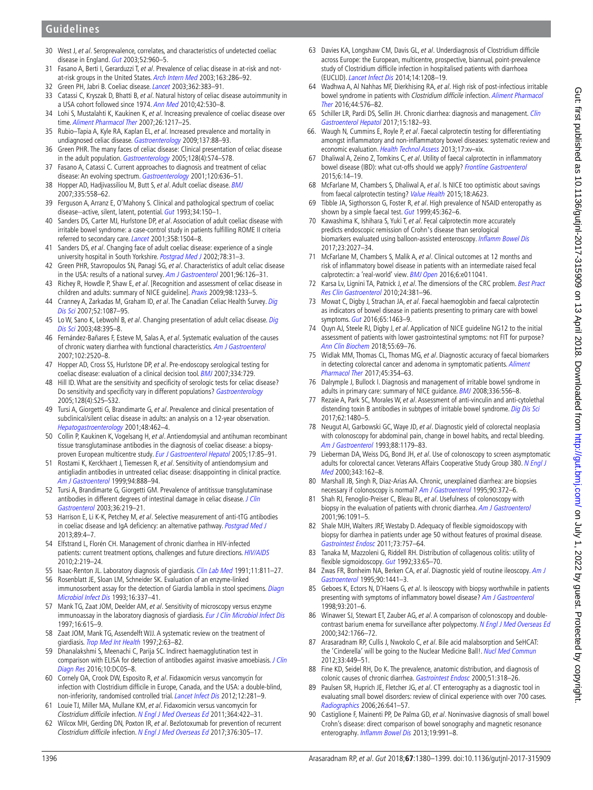## **Guidelines**

- <span id="page-16-0"></span>30 West J, et al. Seroprevalence, correlates, and characteristics of undetected coeliac disease in England. [Gut](http://dx.doi.org/10.1136/gut.52.7.960) 2003;52:960-5.
- 31 Fasano A, Berti I, Gerarduzzi T, et al. Prevalence of celiac disease in at-risk and not-at-risk groups in the United States. [Arch Intern Med](http://dx.doi.org/10.1001/archinte.163.3.286) 2003;163:286-92.
- <span id="page-16-3"></span>32 Green PH, Jabri B. Coeliac disease. [Lancet](http://dx.doi.org/10.1016/S0140-6736(03)14027-5) 2003;362:383-91.
- <span id="page-16-1"></span>33 Catassi C, Kryszak D, Bhatti B, et al. Natural history of celiac disease autoimmunity in a USA cohort followed since 1974. [Ann Med](http://dx.doi.org/10.3109/07853890.2010.514285) 2010;42:530–8.
- 34 Lohi S, Mustalahti K, Kaukinen K, et al. Increasing prevalence of coeliac disease over time. [Aliment Pharmacol Ther](http://dx.doi.org/10.1111/j.1365-2036.2007.03502.x) 2007;26:1217–25.
- 35 Rubio–Tapia A, Kyle RA, Kaplan EL, et al. Increased prevalence and mortality in undiagnosed celiac disease. [Gastroenterology](http://dx.doi.org/10.1053/j.gastro.2009.03.059) 2009;137:88–93.
- <span id="page-16-2"></span>36 Green PHR. The many faces of celiac disease: Clinical presentation of celiac disease in the adult population. [Gastroenterology](http://dx.doi.org/10.1053/j.gastro.2005.02.016) 2005;128(4):S74-S78.
- <span id="page-16-4"></span>37 Fasano A, Catassi C. Current approaches to diagnosis and treatment of celiac disease: An evolving spectrum. [Gastroenterology](http://dx.doi.org/10.1053/gast.2001.22123) 2001;120:636-51.
- 38 Hopper AD, Hadjivassiliou M, Butt S, et al. Adult coeliac disease. [BMJ](http://dx.doi.org/10.1136/bmj.39316.442338.AD) 2007;335:558–62.
- 39 Ferguson A, Arranz E, O'Mahony S. Clinical and pathological spectrum of coeliac disease--active, silent, latent, potential. [Gut](http://dx.doi.org/10.1136/gut.34.2.150) 1993;34:150-1.
- <span id="page-16-5"></span>40 Sanders DS, Carter MJ, Hurlstone DP, et al. Association of adult coeliac disease with irritable bowel syndrome: a case-control study in patients fulfilling ROME II criteria referred to secondary care. [Lancet](http://dx.doi.org/10.1016/S0140-6736(01)06581-3) 2001;358:1504–8.
- 41 Sanders DS, et al. Changing face of adult coeliac disease: experience of a single university hospital in South Yorkshire. [Postgrad Med J](http://dx.doi.org/10.1136/pmj.78.915.31) 2002;78:31-3.
- 42 Green PHR, Stavropoulos SN, Panagi SG, et al. Characteristics of adult celiac disease in the USA: results of a national survey. [Am J Gastroenterol](http://dx.doi.org/10.1111/j.1572-0241.2001.03462.x) 2001;96:126-31.
- <span id="page-16-6"></span>43 Richey R, Howdle P, Shaw E, et al. [Recognition and assessment of celiac disease in children and adults: summary of NICE guideline]. [Praxis](http://dx.doi.org/10.1024/1661-8157.98.21.1233) 2009;98:1233-5.
- 44 Cranney A, Zarkadas M, Graham ID, et al. The Canadian Celiac Health Survey. Dig [Dis Sci](http://dx.doi.org/10.1007/s10620-006-9258-2) 2007;52:1087–95.
- 45 Lo W, Sano K, Lebwohl B, et al. Changing presentation of adult celiac disease. Dig [Dis Sci](http://dx.doi.org/10.1023/A:1021956200382) 2003;48:395–8.
- <span id="page-16-7"></span>46 Fernández-Bañares F, Esteve M, Salas A, et al. Systematic evaluation of the causes of chronic watery diarrhea with functional characteristics. [Am J Gastroenterol](http://dx.doi.org/10.1111/j.1572-0241.2007.01438.x) 2007;102:2520–8.
- 47 Hopper AD, Cross SS, Hurlstone DP, et al. Pre-endoscopy serological testing for coeliac disease: evaluation of a clinical decision tool. **[BMJ](http://dx.doi.org/10.1136/bmj.39133.668681.BE)** 2007;334:729.
- <span id="page-16-8"></span>48 Hill ID. What are the sensitivity and specificity of serologic tests for celiac disease? Do sensitivity and specificity vary in different populations? [Gastroenterology](http://dx.doi.org/10.1053/j.gastro.2005.02.012) 2005;128(4):S25–S32.
- 49 Tursi A, Giorgetti G, Brandimarte G, et al. Prevalence and clinical presentation of subclinical/silent celiac disease in adults: an analysis on a 12-year observation. [Hepatogastroenterology](http://www.ncbi.nlm.nih.gov/pubmed/11379333) 2001;48:462–4.
- 50 Collin P, Kaukinen K, Vogelsang H, et al. Antiendomysial and antihuman recombinant tissue transglutaminase antibodies in the diagnosis of coeliac disease: a biopsy-proven European multicentre study. [Eur J Gastroenterol Hepatol](http://www.ncbi.nlm.nih.gov/pubmed/15647647) 2005;17:85-91.
- 51 Rostami K, Kerckhaert J, Tiemessen R, et al. Sensitivity of antiendomysium and antigliadin antibodies in untreated celiac disease: disappointing in clinical practice. [Am J Gastroenterol](http://dx.doi.org/10.1111/j.1572-0241.1999.983_f.x) 1999;94:888–94.
- 52 Tursi A, Brandimarte G, Giorgetti GM. Prevalence of antitissue transglutaminase antibodies in different degrees of intestinal damage in celiac disease. J Clin [Gastroenterol](http://dx.doi.org/10.1097/00004836-200303000-00007) 2003;36:219–21.
- <span id="page-16-9"></span>53 Harrison E, Li K-K, Petchey M, et al. Selective measurement of anti-tTG antibodies in coeliac disease and IgA deficiency: an alternative pathway. [Postgrad Med J](http://dx.doi.org/10.1136/postgradmedj-2011-130188) 2013;89:4–7.
- <span id="page-16-10"></span>54 Elfstrand L, Florén CH. Management of chronic diarrhea in HIV-infected patients: current treatment options, challenges and future directions. [HIV/AIDS](http://dx.doi.org/10.2147/HIV.S13191)  2010;2:219–24.
- <span id="page-16-11"></span>55 Isaac-Renton JL. Laboratory diagnosis of giardiasis. [Clin Lab Med](http://www.ncbi.nlm.nih.gov/pubmed/1802524) 1991;11:811-27.
- 56 Rosenblatt JE, Sloan LM, Schneider SK. Evaluation of an enzyme-linked immunosorbent assay for the detection of Giardia lamblia in stool specimens. Diagn [Microbiol Infect Dis](http://dx.doi.org/10.1016/0732-8893(93)90086-M) 1993;16:337–41.
- <span id="page-16-26"></span>57 Mank TG, Zaat JOM, Deelder AM, et al. Sensitivity of microscopy versus enzyme immunoassay in the laboratory diagnosis of giardiasis. [Eur J Clin Microbiol Infect Dis](http://dx.doi.org/10.1007/BF02447929) 1997;16:615–9.
- <span id="page-16-12"></span>58 Zaat JOM, Mank TG, Assendelft WJJ. A systematic review on the treatment of giardiasis. [Trop Med Int Health](http://dx.doi.org/10.1046/j.1365-3156.1997.d01-132.x) 1997;2:63–82.
- <span id="page-16-13"></span>59 Dhanalakshmi S, Meenachi C, Parija SC. Indirect haemagglutination test in comparison with ELISA for detection of antibodies against invasive amoebiasis. J Clin [Diagn Res](http://dx.doi.org/10.7860/JCDR/2016/21566.8326) 2016;10:DC05–8.
- <span id="page-16-14"></span>60 Cornely OA, Crook DW, Esposito R, et al. Fidaxomicin versus vancomycin for infection with Clostridium difficile in Europe, Canada, and the USA: a double-blind, non-inferiority, randomised controlled trial. *[Lancet Infect Dis](http://dx.doi.org/10.1016/S1473-3099(11)70374-7)* 2012;12:281-9.
- 61 Louie TJ, Miller MA, Mullane KM, et al. Fidaxomicin versus vancomycin for Clostridium difficile infection. [N Engl J Med Overseas Ed](http://dx.doi.org/10.1056/NEJMoa0910812) 2011;364:422–31.
- 62 Wilcox MH, Gerding DN, Poxton IR, et al. Bezlotoxumab for prevention of recurrent Clostridium difficile infection. [N Engl J Med Overseas Ed](http://dx.doi.org/10.1056/NEJMoa1602615) 2017;376:305–17.
- <span id="page-16-15"></span>63 Davies KA, Longshaw CM, Davis GL, et al. Underdiagnosis of Clostridium difficile across Europe: the European, multicentre, prospective, biannual, point-prevalence study of Clostridium difficile infection in hospitalised patients with diarrhoea (EUCLID). [Lancet Infect Dis](http://dx.doi.org/10.1016/S1473-3099(14)70991-0) 2014;14:1208–19.
- <span id="page-16-16"></span>64 Wadhwa A, Al Nahhas MF, Dierkhising RA, et al. High risk of post-infectious irritable bowel syndrome in patients with Clostridium difficile infection. Aliment Pharmacol [Ther](http://dx.doi.org/10.1111/apt.13737) 2016;44:576–82.
- <span id="page-16-17"></span>Schiller LR, Pardi DS, Sellin JH. Chronic diarrhea: diagnosis and management. Clin [Gastroenterol Hepatol](http://dx.doi.org/10.1016/j.cgh.2016.07.028) 2017;15:182–93.
- <span id="page-16-18"></span>66. Waugh N, Cummins E, Royle P, et al. Faecal calprotectin testing for differentiating amongst inflammatory and non-inflammatory bowel diseases: systematic review and economic evaluation. [Health Technol Assess](http://dx.doi.org/10.3310/hta17550) 2013;17:xv–xix.
- <span id="page-16-19"></span>67 Dhaliwal A, Zeino Z, Tomkins C, et al. Utility of faecal calprotectin in inflammatory bowel disease (IBD): what cut-offs should we apply? [Frontline Gastroenterol](http://dx.doi.org/10.1136/flgastro-2013-100420) 2015;6:14–19.
- 68 McFarlane M, Chambers S, Dhaliwal A, et al. Is NICE too optimistic about savings from faecal calprotectin testing? [Value Health](http://dx.doi.org/10.1016/j.jval.2015.09.2189) 2015;18:A623
- <span id="page-16-20"></span>69 Tibble JA, Sigthorsson G, Foster R, et al. High prevalence of NSAID enteropathy as shown by a simple faecal test. [Gut](http://dx.doi.org/10.1136/gut.45.3.362) 1999;45:362-6.
- 70 Kawashima K, Ishihara S, Yuki T, et al. Fecal calprotectin more accurately predicts endoscopic remission of Crohn's disease than serological biomarkers evaluated using balloon-assisted enteroscopy. [Inflamm Bowel Dis](http://dx.doi.org/10.1097/MIB.0000000000001202) 2017;23:2027–34.
- <span id="page-16-21"></span>71 McFarlane M, Chambers S, Malik A, et al. Clinical outcomes at 12 months and risk of inflammatory bowel disease in patients with an intermediate raised fecal calprotectin: a 'real-world' view. [BMJ Open](http://dx.doi.org/10.1136/bmjopen-2016-011041) 2016;6:e011041.
- <span id="page-16-22"></span>72 Karsa Lv, Lignini TA, Patnick J, et al. The dimensions of the CRC problem. Best Pract [Res Clin Gastroenterol](http://dx.doi.org/10.1016/j.bpg.2010.06.004) 2010;24:381–96.
- <span id="page-16-23"></span>73 Mowat C, Digby J, Strachan JA, et al. Faecal haemoglobin and faecal calprotectin as indicators of bowel disease in patients presenting to primary care with bowel symptoms. [Gut](http://dx.doi.org/10.1136/gutjnl-2015-309579) 2016;65:1463-9.
- 74 Quyn AJ, Steele RJ, Digby J, et al. Application of NICE guideline NG12 to the initial assessment of patients with lower gastrointestinal symptoms: not FIT for purpose? [Ann Clin Biochem](http://dx.doi.org/10.1177/0004563217707981) 2018;55:69–76.
- 75 Widlak MM, Thomas CL, Thomas MG, et al. Diagnostic accuracy of faecal biomarkers in detecting colorectal cancer and adenoma in symptomatic patients. Aliment [Pharmacol Ther](http://dx.doi.org/10.1111/apt.13865) 2017;45:354-63.
- <span id="page-16-24"></span>76 Dalrymple J, Bullock I. Diagnosis and management of irritable bowel syndrome in adults in primary care: summary of NICE guidance. [BMJ](http://dx.doi.org/10.1136/bmj.39484.712616.AD) 2008;336:556-8.
- <span id="page-16-25"></span>77 Rezaie A, Park SC, Morales W, et al. Assessment of anti-vinculin and anti-cytolethal distending toxin B antibodies in subtypes of irritable bowel syndrome. [Dig Dis Sci](http://dx.doi.org/10.1007/s10620-017-4585-z) 2017;62:1480–5.
- <span id="page-16-27"></span>78 Neugut AI, Garbowski GC, Waye JD, et al. Diagnostic yield of colorectal neoplasia with colonoscopy for abdominal pain, change in bowel habits, and rectal bleeding. [Am J Gastroenterol](http://www.ncbi.nlm.nih.gov/pubmed/8338084) 1993;88:1179–83.
- 79 Lieberman DA, Weiss DG, Bond JH, et al. Use of colonoscopy to screen asymptomatic adults for colorectal cancer. Veterans Affairs Cooperative Study Group 380. N Engl J [Med](http://dx.doi.org/10.1056/NEJM200007203430301) 2000;343:162–8.
- <span id="page-16-28"></span>80 Marshall JB, Singh R, Diaz-Arias AA. Chronic, unexplained diarrhea: are biopsies necessary if colonoscopy is normal? [Am J Gastroenterol](http://www.ncbi.nlm.nih.gov/pubmed/7872272) 1995;90:372-6.
- 81 Shah RJ, Fenoglio-Preiser C, Bleau BL, et al. Usefulness of colonoscopy with biopsy in the evaluation of patients with chronic diarrhea. [Am J Gastroenterol](http://dx.doi.org/10.1111/j.1572-0241.2001.03745.x) 2001;96:1091–5.
- <span id="page-16-36"></span>82 Shale MJH, Walters JRF, Westaby D. Adequacy of flexible sigmoidoscopy with biopsy for diarrhea in patients under age 50 without features of proximal disease. [Gastrointest Endosc](http://dx.doi.org/10.1016/j.gie.2010.11.037) 2011;73:757–64.
- 83 Tanaka M, Mazzoleni G, Riddell RH. Distribution of collagenous colitis: utility of flexible sigmoidoscopy. [Gut](http://dx.doi.org/10.1136/gut.33.1.65) 1992;33:65-70.
- <span id="page-16-29"></span>84 Zwas FR, Bonheim NA, Berken CA, et al. Diagnostic yield of routine ileoscopy. Am J [Gastroenterol](http://www.ncbi.nlm.nih.gov/pubmed/7661166) 1995;90:1441–3.
- <span id="page-16-30"></span>85 Geboes K, Ectors N, D'Haens G, et al. Is ileoscopy with biopsy worthwhile in patients presenting with symptoms of inflammatory bowel disease? [Am J Gastroenterol](http://dx.doi.org/10.1111/j.1572-0241.1998.00201.x) 1998;93:201–6.
- <span id="page-16-31"></span>86 Winawer SJ, Stewart ET, Zauber AG, et al. A comparison of colonoscopy and double-contrast barium enema for surveillance after polypectomy. [N Engl J Med Overseas Ed](http://dx.doi.org/10.1056/NEJM200006153422401) 2000;342:1766–72.
- <span id="page-16-35"></span>87 Arasaradnam RP, Cullis J, Nwokolo C, et al. Bile acid malabsorption and SeHCAT: the 'Cinderella' will be going to the Nuclear Medicine Ball!. [Nucl Med Commun](http://dx.doi.org/10.1097/MNM.0b013e328351d516) 2012;33:449–51.
- <span id="page-16-32"></span>88 Fine KD, Seidel RH, Do K. The prevalence, anatomic distribution, and diagnosis of colonic causes of chronic diarrhea. [Gastrointest Endosc](http://dx.doi.org/10.1016/S0016-5107(00)70362-2) 2000;51:318-26.
- <span id="page-16-33"></span>89 Paulsen SR, Huprich JE, Fletcher JG, et al. CT enterography as a diagnostic tool in evaluating small bowel disorders: review of clinical experience with over 700 cases. [Radiographics](http://dx.doi.org/10.1148/rg.263055162) 2006;26:641–57.
- <span id="page-16-34"></span>90 Castiglione F, Mainenti PP, De Palma GD, et al. Noninvasive diagnosis of small bowel Crohn's disease: direct comparison of bowel sonography and magnetic resonance enterography. [Inflamm Bowel Dis](http://dx.doi.org/10.1097/MIB.0b013e3182802b87) 2013;19:991-8.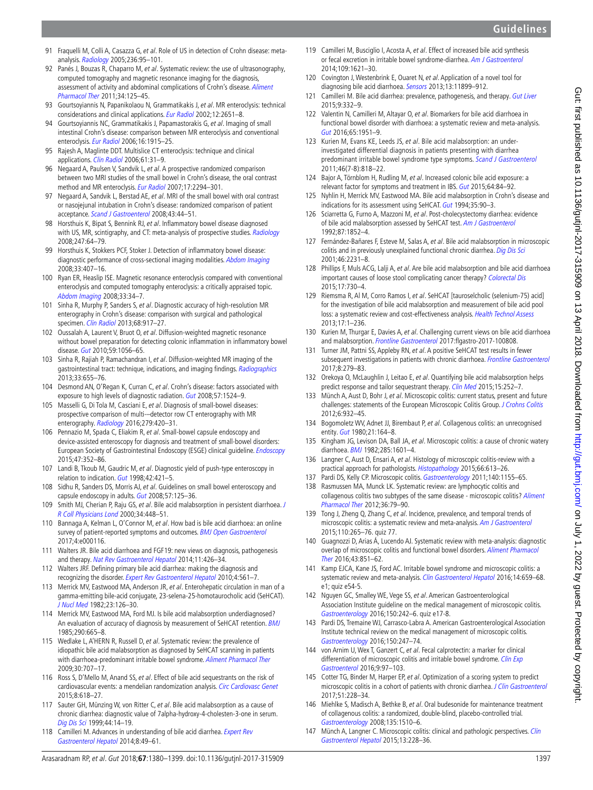- 91 Fraquelli M, Colli A, Casazza G, et al. Role of US in detection of Crohn disease: metaanalysis. [Radiology](http://dx.doi.org/10.1148/radiol.2361040799) 2005;236:95–101.
- 92 Panés J, Bouzas R, Chaparro M, et al. Systematic review: the use of ultrasonography, computed tomography and magnetic resonance imaging for the diagnosis, assessment of activity and abdominal complications of Crohn's disease. Aliment [Pharmacol Ther](http://dx.doi.org/10.1111/j.1365-2036.2011.04710.x) 2011;34:125–45.
- <span id="page-17-0"></span>93 Gourtsoyiannis N, Papanikolaou N, Grammatikakis J, et al. MR enteroclysis: technical considerations and clinical applications. [Eur Radiol](http://dx.doi.org/10.1007/s00330-002-1507-y) 2002;12:2651–8.
- <span id="page-17-2"></span>94 Gourtsoyiannis NC, Grammatikakis J, Papamastorakis G, et al. Imaging of small intestinal Crohn's disease: comparison between MR enteroclysis and conventional enteroclysis. [Eur Radiol](http://dx.doi.org/10.1007/s00330-006-0248-8) 2006;16:1915-25.
- 95 Rajesh A, Maglinte DDT. Multislice CT enteroclysis: technique and clinical applications. [Clin Radiol](http://dx.doi.org/10.1016/j.crad.2005.08.006) 2006;61:31-9.
- <span id="page-17-1"></span>96 Negaard A, Paulsen V, Sandvik L, et al. A prospective randomized comparison between two MRI studies of the small bowel in Crohn's disease, the oral contrast method and MR enteroclysis. [Eur Radiol](http://dx.doi.org/10.1007/s00330-007-0648-4) 2007;17:2294–301.
- 97 Negaard A, Sandvik L, Berstad AE, et al. MRI of the small bowel with oral contrast or nasojejunal intubation in Crohn's disease: randomized comparison of patient acceptance. [Scand J Gastroenterol](http://dx.doi.org/10.1080/00365520701494813) 2008;43:44-51.
- <span id="page-17-4"></span>98 Horsthuis K, Bipat S, Bennink RJ, et al. Inflammatory bowel disease diagnosed with US, MR, scintigraphy, and CT: meta-analysis of prospective studies. [Radiology](http://dx.doi.org/10.1148/radiol.2471070611) 2008;247:64–79.
- 99 Horsthuis K, Stokkers PCF, Stoker J. Detection of inflammatory bowel disease: diagnostic performance of cross-sectional imaging modalities. [Abdom Imaging](http://dx.doi.org/10.1007/s00261-007-9276-3) 2008;33:407–16.
- 100 Ryan ER, Heaslip ISE. Magnetic resonance enteroclysis compared with conventional enteroclysis and computed tomography enteroclysis: a critically appraised topic. [Abdom Imaging](http://dx.doi.org/10.1007/s00261-007-9308-z) 2008;33:34–7.
- <span id="page-17-5"></span>101 Sinha R, Murphy P, Sanders S, et al. Diagnostic accuracy of high-resolution MR enterography in Crohn's disease: comparison with surgical and pathological specimen. [Clin Radiol](http://dx.doi.org/10.1016/j.crad.2013.02.012) 2013;68:917–27.
- <span id="page-17-3"></span>102 Oussalah A, Laurent V, Bruot O, et al. Diffusion-weighted magnetic resonance without bowel preparation for detecting colonic inflammation in inflammatory bowel disease. [Gut](http://dx.doi.org/10.1136/gut.2009.197665) 2010;59:1056–65.
- 103 Sinha R, Rajiah P, Ramachandran I, et al. Diffusion-weighted MR imaging of the gastrointestinal tract: technique, indications, and imaging findings. [Radiographics](http://dx.doi.org/10.1148/rg.333125042) 2013;33:655–76.
- 104 Desmond AN, O'Regan K, Curran C, et al. Crohn's disease: factors associated with exposure to high levels of diagnostic radiation. [Gut](http://dx.doi.org/10.1136/gut.2008.151415) 2008;57:1524-9.
- 105 Masselli G, Di Tola M, Casciani E, et al. Diagnosis of small-bowel diseases: prospective comparison of multi-–detector row CT enterography with MR enterography. [Radiology](http://dx.doi.org/10.1148/radiol.2015150263) 2016;279:420-31.
- <span id="page-17-6"></span>106 Pennazio M, Spada C, Eliakim R, et al. Small-bowel capsule endoscopy and device-assisted enteroscopy for diagnosis and treatment of small-bowel disorders: European Society of Gastrointestinal [Endoscopy](http://dx.doi.org/10.1055/s-0034-1391855) (ESGE) clinical guideline. *Endoscopy* 2015;47:352–86.
- <span id="page-17-7"></span>107 Landi B, Tkoub M, Gaudric M, et al. Diagnostic yield of push-type enteroscopy in relation to indication.  $Gut$  1998;42:421-5.
- <span id="page-17-8"></span>108 Sidhu R, Sanders DS, Morris AJ, et al. Guidelines on small bowel enteroscopy and capsule endoscopy in adults. [Gut](http://dx.doi.org/10.1136/gut.2007.129999) 2008;57:125-36.
- <span id="page-17-9"></span>109 Smith MJ, Cherian P, Raju GS, et al. Bile acid malabsorption in persistent diarrhoea. J [R Coll Physicians Lond](http://www.ncbi.nlm.nih.gov/pubmed/11077656) 2000;34:448–51.
- 110 Bannaga A, Kelman L, O'Connor M, et al. How bad is bile acid diarrhoea: an online survey of patient-reported symptoms and outcomes. [BMJ Open Gastroenterol](http://dx.doi.org/10.1136/bmjgast-2016-000116) 2017;4:e000116.
- <span id="page-17-10"></span>111 Walters JR. Bile acid diarrhoea and FGF19: new views on diagnosis, pathogenesis and therapy. [Nat Rev Gastroenterol Hepatol](http://dx.doi.org/10.1038/nrgastro.2014.32) 2014;11:426–34.
- 112 Walters JRF. Defining primary bile acid diarrhea: making the diagnosis and recognizing the disorder. [Expert Rev Gastroenterol Hepatol](http://dx.doi.org/10.1586/egh.10.54) 2010;4:561-7.
- <span id="page-17-11"></span>113 Merrick MV, Eastwood MA, Anderson JR, et al. Enterohepatic circulation in man of a gamma-emitting bile-acid conjugate, 23-selena-25-homotaurocholic acid (SeHCAT). [J Nucl Med](http://www.ncbi.nlm.nih.gov/pubmed/7057253) 1982;23:126–30.
- 114 Merrick MV, Eastwood MA, Ford MJ. Is bile acid malabsorption underdiagnosed? An evaluation of accuracy of diagnosis by measurement of SeHCAT retention. **[BMJ](http://dx.doi.org/10.1136/bmj.290.6469.665)** 1985;290:665–8.
- <span id="page-17-12"></span>115 Wedlake L, A'HERN R, Russell D, et al. Systematic review: the prevalence of idiopathic bile acid malabsorption as diagnosed by SeHCAT scanning in patients with diarrhoea-predominant irritable bowel syndrome. [Aliment Pharmacol Ther](http://dx.doi.org/10.1111/j.1365-2036.2009.04081.x) 2009;30:707–17.
- <span id="page-17-13"></span>116 Ross S, D'Mello M, Anand SS, et al. Effect of bile acid sequestrants on the risk of cardiovascular events: a mendelian randomization analysis. [Circ Cardiovasc Genet](http://dx.doi.org/10.1161/CIRCGENETICS.114.000952) 2015;8:618–27.
- <span id="page-17-14"></span>117 Sauter GH, Münzing W, von Ritter C, et al. Bile acid malabsorption as a cause of chronic diarrhea: diagnostic value of 7alpha-hydroxy-4-cholesten-3-one in serum. [Dig Dis Sci](http://dx.doi.org/10.1023/A:1026681512303) 1999;44:14–19.
- <span id="page-17-15"></span>118 Camilleri M. Advances in understanding of bile acid diarrhea. Expert Rev [Gastroenterol Hepatol](http://dx.doi.org/10.1586/17474124.2014.851599) 2014;8:49–61.
- <span id="page-17-16"></span>119 Camilleri M, Busciglio I, Acosta A, et al. Effect of increased bile acid synthesis or fecal excretion in irritable bowel syndrome-diarrhea. [Am J Gastroenterol](http://dx.doi.org/10.1038/ajg.2014.215) 2014;109:1621–30.
- <span id="page-17-17"></span>120 Covington J, Westenbrink E, Ouaret N, et al. Application of a novel tool for diagnosing bile acid diarrhoea. [Sensors](http://dx.doi.org/10.3390/s130911899) 2013;13:11899-912.
- <span id="page-17-18"></span>121 Camilleri M. Bile acid diarrhea: prevalence, pathogenesis, and therapy. [Gut Liver](http://dx.doi.org/10.5009/gnl14397) 2015;9:332–9.
- <span id="page-17-27"></span>122 Valentin N, Camilleri M, Altayar O, et al. Biomarkers for bile acid diarrhoea in functional bowel disorder with diarrhoea: a systematic review and meta-analysis. [Gut](http://dx.doi.org/10.1136/gutjnl-2015-309889) 2016;65:1951–9.
- 123 Kurien M, Evans KE, Leeds JS, et al. Bile acid malabsorption: an underinvestigated differential diagnosis in patients presenting with diarrhea predominant irritable bowel syndrome type symptoms. [Scand J Gastroenterol](http://dx.doi.org/10.3109/00365521.2011.574728) 2011;46(7-8):818–22.
- <span id="page-17-19"></span>124 Bajor A, Törnblom H, Rudling M, et al. Increased colonic bile acid exposure: a relevant factor for symptoms and treatment in IBS. [Gut](http://dx.doi.org/10.1136/gutjnl-2013-305965) 2015;64:84-92.
- <span id="page-17-20"></span>125 Nyhlin H, Merrick MV, Eastwood MA. Bile acid malabsorption in Crohn's disease and indications for its assessment using SeHCAT. [Gut](http://dx.doi.org/10.1136/gut.35.1.90) 1994;35:90-3.
- <span id="page-17-21"></span>126 Sciarretta G, Furno A, Mazzoni M, et al. Post-cholecystectomy diarrhea: evidence of bile acid malabsorption assessed by SeHCAT test. [Am J Gastroenterol](http://www.ncbi.nlm.nih.gov/pubmed/1449156) 1992;87:1852–4.
- <span id="page-17-22"></span>127 Fernández-Bañares F, Esteve M, Salas A, et al. Bile acid malabsorption in microscopic colitis and in previously unexplained functional chronic diarrhea. [Dig Dis Sci](http://dx.doi.org/10.1023/A:1011927302076) 2001;46:2231–8.
- <span id="page-17-23"></span>128 Phillips F, Muls ACG, Lalji A, et al. Are bile acid malabsorption and bile acid diarrhoea important causes of loose stool complicating cancer therapy? [Colorectal Dis](http://dx.doi.org/10.1111/codi.12932) 2015;17:730–4.
- <span id="page-17-24"></span>129 Riemsma R, Al M, Corro Ramos I, et al. SeHCAT [tauroselcholic (selenium-75) acid] for the investigation of bile acid malabsorption and measurement of bile acid pool loss: a systematic review and cost-effectiveness analysis. [Health Technol Assess](http://dx.doi.org/10.3310/hta17610) 2013;17:1–236.
- <span id="page-17-25"></span>130 Kurien M, Thurgar E, Davies A, et al. Challenging current views on bile acid diarrhoea and malabsorption. [Frontline Gastroenterol](http://dx.doi.org/10.1136/flgastro-2017-100808) 2017:flgastro-2017-100808.
- <span id="page-17-26"></span>131 Turner JM, Pattni SS, Appleby RN, et al. A positive SeHCAT test results in fewer subsequent investigations in patients with chronic diarrhoea. [Frontline Gastroenterol](http://dx.doi.org/10.1136/flgastro-2017-100826) 2017;8:279–83.
- <span id="page-17-28"></span>132 Orekoya O, McLaughlin J, Leitao E, et al. Quantifying bile acid malabsorption helps predict response and tailor sequestrant therapy. [Clin Med](http://dx.doi.org/10.7861/clinmedicine.15-3-252) 2015;15:252-7.
- <span id="page-17-29"></span>133 Münch A, Aust D, Bohr J, et al. Microscopic colitis: current status, present and future challenges: statements of the European Microscopic Colitis Group. [J Crohns Colitis](http://dx.doi.org/10.1016/j.crohns.2012.05.014) 2012;6:932–45.
- <span id="page-17-30"></span>134 Bogomoletz WV, Adnet JJ, Birembaut P, et al. Collagenous colitis: an unrecognised entity. [Gut](http://dx.doi.org/10.1136/gut.21.2.164) 1980;21:164–8.
- 135 Kingham JG, Levison DA, Ball JA, et al. Microscopic colitis: a cause of chronic watery diarrhoea. **[BMJ](http://dx.doi.org/10.1136/bmj.285.6355.1601)** 1982;285:1601-4.
- <span id="page-17-31"></span>136 Langner C, Aust D, Ensari A, et al. Histology of microscopic colitis-review with a practical approach for pathologists. [Histopathology](http://dx.doi.org/10.1111/his.12592) 2015;66:613-26.
- <span id="page-17-32"></span>137 Pardi DS, Kelly CP. Microscopic colitis. [Gastroenterology](http://dx.doi.org/10.1053/j.gastro.2011.02.003) 2011;140:1155-65.
- <span id="page-17-37"></span>138 Rasmussen MA, Munck LK. Systematic review: are lymphocytic colitis and collagenous colitis two subtypes of the same disease - microscopic colitis? Aliment [Pharmacol Ther](http://dx.doi.org/10.1111/j.1365-2036.2012.05166.x) 2012;36:79–90.
- <span id="page-17-33"></span>139 Tong J, Zheng Q, Zhang C, et al. Incidence, prevalence, and temporal trends of microscopic colitis: a systematic review and meta-analysis. [Am J Gastroenterol](http://dx.doi.org/10.1038/ajg.2014.431) 2015;110:265–76. quiz 77.
- <span id="page-17-34"></span>140 Guagnozzi D, Arias Á, Lucendo AJ. Systematic review with meta-analysis: diagnostic overlap of microscopic colitis and functional bowel disorders. Aliment Pharmacol [Ther](http://dx.doi.org/10.1111/apt.13573) 2016;43:851–62.
- <span id="page-17-38"></span>141 Kamp EJCA, Kane JS, Ford AC. Irritable bowel syndrome and microscopic colitis: a systematic review and meta-analysis. [Clin Gastroenterol Hepatol](http://dx.doi.org/10.1016/j.cgh.2015.09.031) 2016;14:659-68. e1; quiz e54-5.
- <span id="page-17-35"></span>142 Nguyen GC, Smalley WE, Vege SS, et al. American Gastroenterological Association Institute guideline on the medical management of microscopic colitis. [Gastroenterology](http://dx.doi.org/10.1053/j.gastro.2015.11.008) 2016;150:242–6. quiz e17-8.
- <span id="page-17-36"></span>143 Pardi DS, Tremaine WJ, Carrasco-Labra A. American Gastroenterological Association Institute technical review on the medical management of microscopic colitis. [Gastroenterology](http://dx.doi.org/10.1053/j.gastro.2015.11.006) 2016;150:247–74.
- <span id="page-17-39"></span>144 von Arnim U, Wex T, Ganzert C, et al. Fecal calprotectin: a marker for clinical differentiation of microscopic colitis and irritable bowel syndrome. Clin Exp [Gastroenterol](http://dx.doi.org/10.2147/CEG.S97701) 2016;9:97-103.
- <span id="page-17-40"></span>145 Cotter TG, Binder M, Harper EP, et al. Optimization of a scoring system to predict microscopic colitis in a cohort of patients with chronic diarrhea. [J Clin Gastroenterol](http://dx.doi.org/10.1097/MCG.0000000000000565) 2017;51:228–34.
- <span id="page-17-41"></span>146 Miehlke S, Madisch A, Bethke B, et al. Oral budesonide for maintenance treatment of collagenous colitis: a randomized, double-blind, placebo-controlled trial. [Gastroenterology](http://dx.doi.org/10.1053/j.gastro.2008.07.081) 2008;135:1510–6.
- <span id="page-17-42"></span>147 Münch A, Langner C. Microscopic colitis: clinical and pathologic perspectives. Clin [Gastroenterol Hepatol](http://dx.doi.org/10.1016/j.cgh.2013.12.026) 2015;13:228–36.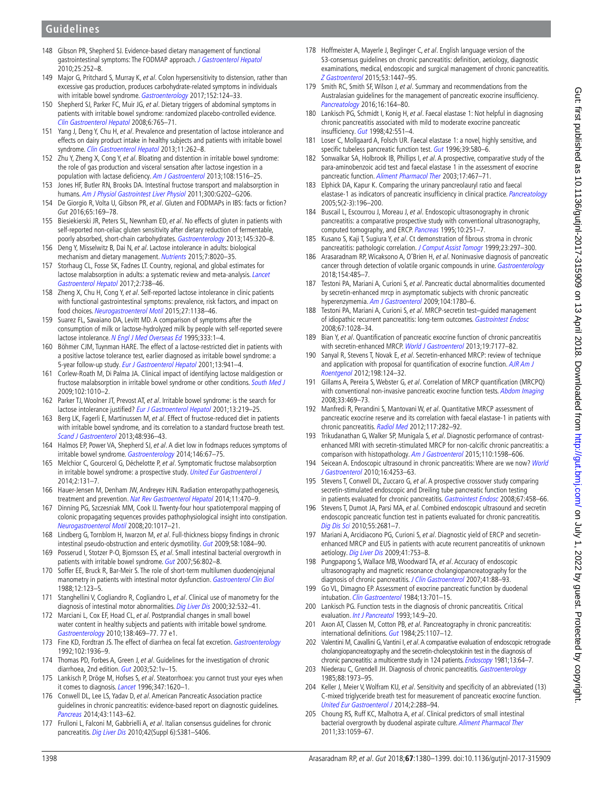## **Guidelines**

- <span id="page-18-0"></span>148 Gibson PR, Shepherd SJ. Evidence-based dietary management of functional gastrointestinal symptoms: The FODMAP approach. [J Gastroenterol Hepatol](http://dx.doi.org/10.1111/j.1440-1746.2009.06149.x) 2010;25:252–8.
- <span id="page-18-1"></span>149 Major G, Pritchard S, Murray K, et al. Colon hypersensitivity to distension, rather than excessive gas production, produces carbohydrate-related symptoms in individuals with irritable bowel syndrome. [Gastroenterology](http://dx.doi.org/10.1053/j.gastro.2016.09.062) 2017;152:124-33.
- <span id="page-18-4"></span>150 Shepherd SJ, Parker FC, Muir JG, et al. Dietary triggers of abdominal symptoms in patients with irritable bowel syndrome: randomized placebo-controlled evidence. [Clin Gastroenterol Hepatol](http://dx.doi.org/10.1016/j.cgh.2008.02.058) 2008;6:765–71.
- 151 Yang J, Deng Y, Chu H, et al. Prevalence and presentation of lactose intolerance and effects on dairy product intake in healthy subjects and patients with irritable bowel syndrome. [Clin Gastroenterol Hepatol](http://dx.doi.org/10.1016/j.cgh.2012.11.034) 2013;11:262-8.
- 152 Zhu Y, Zheng X, Cong Y, et al. Bloating and distention in irritable bowel syndrome: the role of gas production and visceral sensation after lactose ingestion in a population with lactase deficiency. [Am J Gastroenterol](http://dx.doi.org/10.1038/ajg.2013.198) 2013;108:1516-25.
- <span id="page-18-2"></span>153 Jones HF, Butler RN, Brooks DA. Intestinal fructose transport and malabsorption in humans. [Am J Physiol Gastrointest Liver Physiol](http://dx.doi.org/10.1152/ajpgi.00457.2010) 2011;300:G202–G206.
- <span id="page-18-3"></span>154 De Giorgio R, Volta U, Gibson PR, et al. Gluten and FODMAPs in IBS: facts or fiction? Gut 2016;65:169–78.
- 155 Biesiekierski JR, Peters SL, Newnham ED, et al. No effects of gluten in patients with self-reported non-celiac gluten sensitivity after dietary reduction of fermentable, poorly absorbed, short-chain carbohydrates. [Gastroenterology](http://dx.doi.org/10.1053/j.gastro.2013.04.051) 2013;145:320–8.
- <span id="page-18-5"></span>156 Deng Y, Misselwitz B, Dai N, et al. Lactose intolerance in adults: biological mechanism and dietary management. [Nutrients](http://dx.doi.org/10.3390/nu7095380) 2015;7:8020-35.
- <span id="page-18-6"></span>157 Storhaug CL, Fosse SK, Fadnes LT. Country, regional, and global estimates for lactose malabsorption in adults: a systematic review and meta-analysis. Lancet [Gastroenterol Hepatol](http://dx.doi.org/10.1016/S2468-1253(17)30154-1) 2017;2:738–46.
- <span id="page-18-7"></span>158 Zheng X, Chu H, Cong Y, et al. Self-reported lactose intolerance in clinic patients with functional gastrointestinal symptoms: prevalence, risk factors, and impact on food choices. [Neurogastroenterol Motil](http://dx.doi.org/10.1111/nmo.12602) 2015;27:1138–46.
- 159 Suarez FL, Savaiano DA, Levitt MD. A comparison of symptoms after the consumption of milk or lactose-hydrolyzed milk by people with self-reported severe lactose intolerance. [N Engl J Med Overseas Ed](http://dx.doi.org/10.1056/NEJM199507063330101) 1995;333:1-4.
- <span id="page-18-8"></span>160 Böhmer CJM, Tuynman HARE. The effect of a lactose-restricted diet in patients with a positive lactose tolerance test, earlier diagnosed as irritable bowel syndrome: a 5-year follow-up study. [Eur J Gastroenterol Hepatol](http://dx.doi.org/10.1097/00042737-200108000-00011) 2001;13:941-4.
- <span id="page-18-9"></span>161 Corlew-Roath M, Di Palma JA. Clinical impact of identifying lactose maldigestion or fructose malabsorption in irritable bowel syndrome or other conditions. [South Med J](http://dx.doi.org/10.1097/SMJ.0b013e3181b64c7f) 2009;102:1010–2.
- 162 Parker TJ, Woolner JT, Prevost AT, et al. Irritable bowel syndrome: is the search for lactose intolerance justified? [Eur J Gastroenterol Hepatol](http://dx.doi.org/10.1097/00042737-200103000-00001) 2001;13:219-25.
- <span id="page-18-10"></span>163 Berg LK, Fagerli E, Martinussen M, et al. Effect of fructose-reduced diet in patients with irritable bowel syndrome, and its correlation to a standard fructose breath test. [Scand J Gastroenterol](http://dx.doi.org/10.3109/00365521.2013.812139) 2013;48:936-43.
- 164 Halmos EP, Power VA, Shepherd SJ, et al. A diet low in fodmaps reduces symptoms of irritable bowel syndrome. [Gastroenterology](http://dx.doi.org/10.1053/j.gastro.2013.09.046) 2014;146:67-75.
- <span id="page-18-11"></span>165 Melchior C, Gourcerol G, Déchelotte P, et al. Symptomatic fructose malabsorption in irritable bowel syndrome: a prospective study. [United Eur Gastroenterol J](http://dx.doi.org/10.1177/2050640614521124) 2014;2:131–7.
- <span id="page-18-12"></span>166 Hauer-Jensen M, Denham JW, Andreyev HJN. Radiation enteropathy:pathogenesis, treatment and prevention. [Nat Rev Gastroenterol Hepatol](http://dx.doi.org/10.1038/nrgastro.2014.46) 2014;11:470–9.
- <span id="page-18-13"></span>167 Dinning PG, Szczesniak MM, Cook IJ. Twenty-four hour spatiotemporal mapping of colonic propagating sequences provides pathophysiological insight into constipation. [Neurogastroenterol Motil](http://dx.doi.org/10.1111/j.1365-2982.2008.01147.x) 2008;20:1017–21.
- <span id="page-18-14"></span>168 Lindberg G, Tornblom H, Iwarzon M, et al. Full-thickness biopsy findings in chronic intestinal pseudo-obstruction and enteric dysmotility. [Gut](http://dx.doi.org/10.1136/gut.2008.148296) 2009;58:1084-90.
- <span id="page-18-15"></span>169 Posserud I, Stotzer P-O, Bjornsson ES, et al. Small intestinal bacterial overgrowth in patients with irritable bowel syndrome. [Gut](http://dx.doi.org/10.1136/gut.2006.108712) 2007;56:802-8.
- 170 Soffer EE, Bruck R, Bar-Meir S. The role of short-term multilumen duodenojejunal manometry in patients with intestinal motor dysfunction. [Gastroenterol Clin Biol](http://www.ncbi.nlm.nih.gov/pubmed/3366314) 1988;12:123–5.
- <span id="page-18-16"></span>171 Stanghellini V, Cogliandro R, Cogliandro L, et al. Clinical use of manometry for the diagnosis of intestinal motor abnormalities. [Dig Liver Dis](http://dx.doi.org/10.1016/S1590-8658(00)80011-0) 2000;32:532-41.
- <span id="page-18-17"></span>172 Marciani L, Cox EF, Hoad CL, et al. Postprandial changes in small bowel water content in healthy subjects and patients with irritable bowel syndrome. [Gastroenterology](http://dx.doi.org/10.1053/j.gastro.2009.10.055) 2010;138:469–77. 77 e1.
- <span id="page-18-18"></span>173 Fine KD, Fordtran JS. The effect of diarrhea on fecal fat excretion. [Gastroenterology](http://dx.doi.org/10.1016/0016-5085(92)90316-Q) 1992;102:1936–9.
- <span id="page-18-19"></span>174 Thomas PD, Forbes A, Green J, et al. Guidelines for the investigation of chronic diarrhoea, 2nd edition. [Gut](http://dx.doi.org/10.1136/gut.52.suppl_5.v1) 2003;52:1v-15.
- <span id="page-18-20"></span>175 Lankisch P, Dröge M, Hofses S, et al. Steatorrhoea: you cannot trust your eyes when it comes to diagnosis. [Lancet](http://dx.doi.org/10.1016/S0140-6736(96)91107-1) 1996;347:1620–1.
- <span id="page-18-21"></span>176 Conwell DL, Lee LS, Yadav D, et al. American Pancreatic Association practice guidelines in chronic pancreatitis: evidence-based report on diagnostic guidelines. [Pancreas](http://dx.doi.org/10.1097/MPA.0000000000000237) 2014;43:1143–62.
- 177 Frulloni L, Falconi M, Gabbrielli A, et al. Italian consensus guidelines for chronic pancreatitis. [Dig Liver Dis](http://dx.doi.org/10.1016/S1590-8658(10)60682-2) 2010;42(Suppl 6):S381-S406.
- 178 Hoffmeister A, Mayerle J, Beglinger C, et al. English language version of the S3-consensus guidelines on chronic pancreatitis: definition, aetiology, diagnostic examinations, medical, endoscopic and surgical management of chronic pancreatitis. [Z Gastroenterol](http://dx.doi.org/10.1055/s-0041-107379) 2015;53:1447–95.
- 179 Smith RC, Smith SF, Wilson J, et al. Summary and recommendations from the Australasian guidelines for the management of pancreatic exocrine insufficiency. [Pancreatology](http://dx.doi.org/10.1016/j.pan.2015.12.006) 2016;16:164–80.
- <span id="page-18-22"></span>180 Lankisch PG, Schmidt I, Konig H, et al. Faecal elastase 1: Not helpful in diagnosing chronic pancreatitis associated with mild to moderate exocrine pancreatic insufficiency. [Gut](http://dx.doi.org/10.1136/gut.42.4.551) 1998;42:551–4.
- 181 Loser C, Mollgaard A, Folsch UR. Faecal elastase 1: a novel, highly sensitive, and specific tubeless pancreatic function test. [Gut](http://dx.doi.org/10.1136/gut.39.4.580) 1996;39:580-6.
- <span id="page-18-23"></span>182 Sonwalkar SA, Holbrook IB, Phillips I, et al. A prospective, comparative study of the para-aminobenzoic acid test and faecal elastase 1 in the assessment of exocrine pancreatic function. [Aliment Pharmacol Ther](http://dx.doi.org/10.1046/j.1365-2036.2003.01451.x) 2003;17:467-71.
- <span id="page-18-24"></span>183 Elphick DA, Kapur K. Comparing the urinary pancreolauryl ratio and faecal elastase-1 as indicators of pancreatic insufficiency in clinical practice. [Pancreatology](http://dx.doi.org/10.1159/000085271) 2005;5(2-3):196–200.
- <span id="page-18-25"></span>184 Buscail L, Escourrou J, Moreau J, et al. Endoscopic ultrasonography in chronic pancreatitis: a comparative prospective study with conventional ultrasonography, computed tomography, and ERCP. [Pancreas](http://www.ncbi.nlm.nih.gov/pubmed/7624302) 1995;10:251-7.
- 185 Kusano S, Kaji T, Sugiura Y, et al. Ct demonstration of fibrous stroma in chronic pancreatitis: pathologic correlation. [J Comput Assist Tomogr](http://dx.doi.org/10.1097/00004728-199903000-00022) 1999;23:297-300.
- <span id="page-18-26"></span>186 Arasaradnam RP, Wicaksono A, O'Brien H, et al. Noninvasive diagnosis of pancreatic cancer through detection of volatile organic compounds in urine. [Gastroenterology](http://dx.doi.org/10.1053/j.gastro.2017.09.054) 2018;154:485–7.
- <span id="page-18-27"></span>187 Testoni PA, Mariani A, Curioni S, et al. Pancreatic ductal abnormalities documented by secretin-enhanced mrcp in asymptomatic subjects with chronic pancreatic hyperenzymemia. [Am J Gastroenterol](http://dx.doi.org/10.1038/ajg.2009.158) 2009;104:1780-6.
- <span id="page-18-28"></span>188 Testoni PA, Mariani A, Curioni S, et al. MRCP-secretin test-quided management of idiopathic recurrent pancreatitis: long-term outcomes. [Gastrointest Endosc](http://dx.doi.org/10.1016/j.gie.2007.09.007) 2008;67:1028–34.
- <span id="page-18-29"></span>189 Bian Y, et al. Quantification of pancreatic exocrine function of chronic pancreatitis with secretin-enhanced MRCP. [World J Gastroenterol](http://dx.doi.org/10.3748/wjg.v19.i41.7177) 2013;19:7177-82.
- 190 Sanyal R, Stevens T, Novak E, et al. Secretin-enhanced MRCP: review of technique and application with proposal for quantification of exocrine function. AJR Am J [Roentgenol](http://dx.doi.org/10.2214/AJR.10.5713) 2012;198:124–32.
- <span id="page-18-30"></span>191 Gillams A, Pereira S, Webster G, et al. Correlation of MRCP quantification (MRCPQ) with conventional non-invasive pancreatic exocrine function tests. [Abdom Imaging](http://dx.doi.org/10.1007/s00261-007-9286-1) 2008;33:469–73.
- 192 Manfredi R, Perandini S, Mantovani W, et al. Quantitative MRCP assessment of pancreatic exocrine reserve and its correlation with faecal elastase-1 in patients with chronic pancreatitis. [Radiol Med](http://dx.doi.org/10.1007/s11547-011-0774-6) 2012;117:282-92.
- <span id="page-18-31"></span>193 Trikudanathan G, Walker SP, Munigala S, et al. Diagnostic performance of contrastenhanced MRI with secretin-stimulated MRCP for non-calcific chronic pancreatitis: a comparison with histopathology. [Am J Gastroenterol](http://dx.doi.org/10.1038/ajg.2015.297) 2015;110:1598-606
- <span id="page-18-32"></span>194 Seicean A. Endoscopic ultrasound in chronic pancreatitis: Where are we now? World [J Gastroenterol](http://dx.doi.org/10.3748/wjg.v16.i34.4253) 2010;16:4253–63.
- <span id="page-18-33"></span>195 Stevens T, Conwell DL, Zuccaro G, et al. A prospective crossover study comparing secretin-stimulated endoscopic and Dreiling tube pancreatic function testing in patients evaluated for chronic pancreatitis. [Gastrointest Endosc](http://dx.doi.org/10.1016/j.gie.2007.07.028) 2008;67:458–66.
- 196 Stevens T, Dumot JA, Parsi MA, et al. Combined endoscopic ultrasound and secretin endoscopic pancreatic function test in patients evaluated for chronic pancreatitis. [Dig Dis Sci](http://dx.doi.org/10.1007/s10620-009-1084-x) 2010;55:2681–7.
- <span id="page-18-34"></span>197 Mariani A, Arcidiacono PG, Curioni S, et al. Diagnostic yield of ERCP and secretinenhanced MRCP and EUS in patients with acute recurrent pancreatitis of unknown aetiology. [Dig Liver Dis](http://dx.doi.org/10.1016/j.dld.2009.01.009) 2009;41:753-8.
- 198 Pungpapong S, Wallace MB, Woodward TA, et al. Accuracy of endoscopic ultrasonography and magnetic resonance cholangiopancreatography for the diagnosis of chronic pancreatitis. [J Clin Gastroenterol](http://dx.doi.org/10.1097/MCG.0b013e31802dfde6) 2007;41:88-93.
- <span id="page-18-35"></span>199 Go VL, Dimagno EP. Assessment of exocrine pancreatic function by duodenal intubation. [Clin Gastroenterol](http://www.ncbi.nlm.nih.gov/pubmed/6386237) 1984;13:701-15.
- 200 Lankisch PG. Function tests in the diagnosis of chronic pancreatitis. Critical evaluation. [Int J Pancreatol](http://dx.doi.org/10.1007/BF02795225) 1993;14:9-20.
- <span id="page-18-36"></span>201 Axon AT, Classen M, Cotton PB, et al. Pancreatography in chronic pancreatitis: international definitions. [Gut](http://dx.doi.org/10.1136/gut.25.10.1107) 1984;25:1107-12.
- 202 Valentini M, Cavallini G, Vantini I, et al. A comparative evaluation of endoscopic retrograde cholangiopancreatography and the secretin-cholecystokinin test in the diagnosis of chronic pancreatitis: a multicentre study in 124 patients. [Endoscopy](http://dx.doi.org/10.1055/s-2007-1021649) 1981;13:64-7.
- <span id="page-18-37"></span>203 Niederau C, Grendell JH. Diagnosis of chronic pancreatitis. [Gastroenterology](http://dx.doi.org/10.1016/0016-5085(85)90029-0) 1985;88:1973–95.
- <span id="page-18-38"></span>204 Keller J, Meier V, Wolfram KU, et al. Sensitivity and specificity of an abbreviated (13) C-mixed triglyceride breath test for measurement of pancreatic exocrine function. [United Eur Gastroenterol J](http://dx.doi.org/10.1177/2050640614542496) 2014;2:288-94.
- <span id="page-18-39"></span>205 Choung RS, Ruff KC, Malhotra A, et al. Clinical predictors of small intestinal bacterial overgrowth by duodenal aspirate culture. [Aliment Pharmacol Ther](http://dx.doi.org/10.1111/j.1365-2036.2011.04625.x) 2011;33:1059–67.